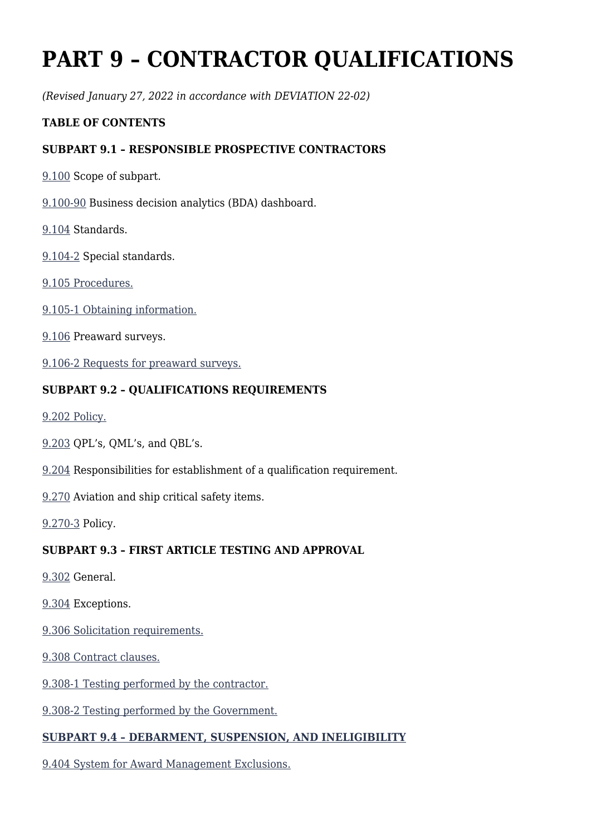# **PART 9 – CONTRACTOR QUALIFICATIONS**

*(Revised January 27, 2022 in accordance with DEVIATION 22-02)*

#### **TABLE OF CONTENTS**

#### **SUBPART 9.1 – RESPONSIBLE PROSPECTIVE CONTRACTORS**

[9.100](https://www.acquisition.gov/%5Brp:link:dlad-part-9%5D#P9_100) Scope of subpart.

- [9.100-90](https://www.acquisition.gov/%5Brp:link:dlad-part-9%5D#P9_100_90) Business decision analytics (BDA) dashboard.
- [9.104](https://www.acquisition.gov/%5Brp:link:dlad-part-9%5D#P9_104) Standards.
- [9.104-2](https://www.acquisition.gov/%5Brp:link:dlad-part-9%5D#P9_104_2) Special standards.
- [9.105 Procedures.](https://www.acquisition.gov/%5Brp:link:dlad-part-9%5D#P9_105)
- [9.105-1 Obtaining information.](https://www.acquisition.gov/%5Brp:link:dlad-part-9%5D#P9_105_1)
- [9.106](https://www.acquisition.gov/%5Brp:link:dlad-part-9%5D#P9_106) Preaward surveys.
- [9.106-2 Requests for preaward surveys.](https://www.acquisition.gov/%5Brp:link:dlad-part-9%5D#P9_106_2)

#### **SUBPART 9.2 – QUALIFICATIONS REQUIREMENTS**

- [9.202 Policy.](https://www.acquisition.gov/%5Brp:link:dlad-part-9%5D#P9_202)
- [9.203](https://www.acquisition.gov/%5Brp:link:dlad-part-9%5D#P9_203) QPL's, QML's, and QBL's.
- [9.204](https://www.acquisition.gov/%5Brp:link:dlad-part-9%5D#P9_204) Responsibilities for establishment of a qualification requirement.
- [9.270](https://www.acquisition.gov/%5Brp:link:dlad-part-9%5D#P9_270) Aviation and ship critical safety items.

[9.270-3](https://www.acquisition.gov/%5Brp:link:dlad-part-9%5D#P9_270_3) Policy.

#### **SUBPART 9.3 – FIRST ARTICLE TESTING AND APPROVAL**

- [9.302](https://www.acquisition.gov/%5Brp:link:dlad-part-9%5D#P9_302) General.
- [9.304](https://www.acquisition.gov/%5Brp:link:dlad-part-9%5D#P9_304) Exceptions.
- [9.306 Solicitation requirements.](https://www.acquisition.gov/%5Brp:link:dlad-part-9%5D#P9_306)
- [9.308 Contract clauses.](https://www.acquisition.gov/%5Brp:link:dlad-part-9%5D#P9_308)
- [9.308-1 Testing performed by the contractor.](https://www.acquisition.gov/%5Brp:link:dlad-part-9%5D#P9_308_1)
- [9.308-2 Testing performed by the Government.](https://www.acquisition.gov/%5Brp:link:dlad-part-9%5D#P9_308_2)

#### **[SUBPART 9.4 – DEBARMENT, SUSPENSION, AND INELIGIBILITY](http://farsite.hill.af.mil/reghtml/regs/other/dlad/part09.htm#P923_73702)**

[9.404 System for Award Management Exclusions.](https://www.acquisition.gov/%5Brp:link:dlad-part-9%5D#P9_404)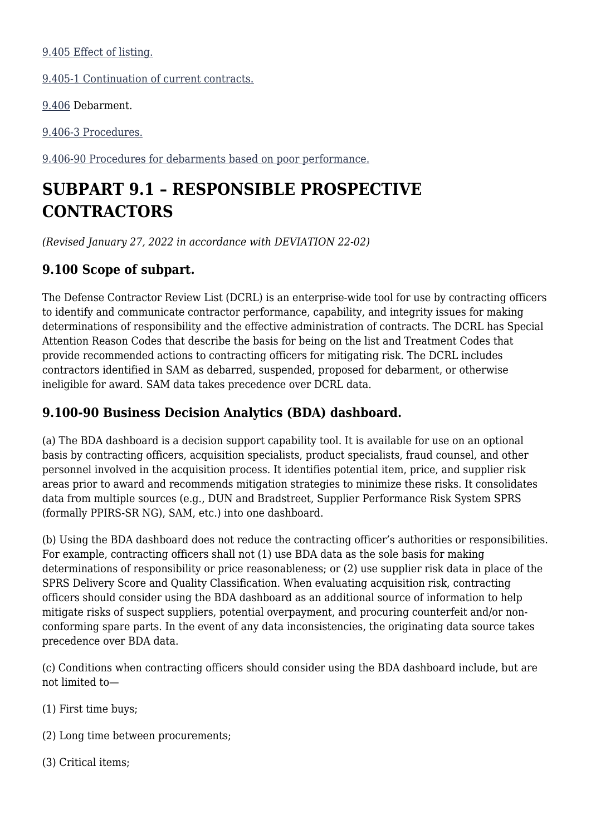#### [9.405 Effect of listing.](https://www.acquisition.gov/%5Brp:link:dlad-part-9%5D#P9_405)

[9.405-1 Continuation of current contracts.](https://www.acquisition.gov/%5Brp:link:dlad-part-9%5D#P9_405_1)

[9.406](https://www.acquisition.gov/%5Brp:link:dlad-part-9%5D#P9_406) Debarment.

[9.406-3 Procedures.](https://www.acquisition.gov/%5Brp:link:dlad-part-9%5D#P9_406_3)

[9.406-90 Procedures for debarments based on poor performance.](https://www.acquisition.gov/%5Brp:link:dlad-part-9%5D#P9_406_90)

# **SUBPART 9.1 – RESPONSIBLE PROSPECTIVE CONTRACTORS**

*(Revised January 27, 2022 in accordance with DEVIATION 22-02)*

# **9.100 Scope of subpart.**

The Defense Contractor Review List (DCRL) is an enterprise-wide tool for use by contracting officers to identify and communicate contractor performance, capability, and integrity issues for making determinations of responsibility and the effective administration of contracts. The DCRL has Special Attention Reason Codes that describe the basis for being on the list and Treatment Codes that provide recommended actions to contracting officers for mitigating risk. The DCRL includes contractors identified in SAM as debarred, suspended, proposed for debarment, or otherwise ineligible for award. SAM data takes precedence over DCRL data.

# **9.100-90 Business Decision Analytics (BDA) dashboard.**

(a) The BDA dashboard is a decision support capability tool. It is available for use on an optional basis by contracting officers, acquisition specialists, product specialists, fraud counsel, and other personnel involved in the acquisition process. It identifies potential item, price, and supplier risk areas prior to award and recommends mitigation strategies to minimize these risks. It consolidates data from multiple sources (e.g., DUN and Bradstreet, Supplier Performance Risk System SPRS (formally PPIRS-SR NG), SAM, etc.) into one dashboard.

(b) Using the BDA dashboard does not reduce the contracting officer's authorities or responsibilities. For example, contracting officers shall not (1) use BDA data as the sole basis for making determinations of responsibility or price reasonableness; or (2) use supplier risk data in place of the SPRS Delivery Score and Quality Classification. When evaluating acquisition risk, contracting officers should consider using the BDA dashboard as an additional source of information to help mitigate risks of suspect suppliers, potential overpayment, and procuring counterfeit and/or nonconforming spare parts. In the event of any data inconsistencies, the originating data source takes precedence over BDA data.

(c) Conditions when contracting officers should consider using the BDA dashboard include, but are not limited to—

- (1) First time buys;
- (2) Long time between procurements;
- (3) Critical items;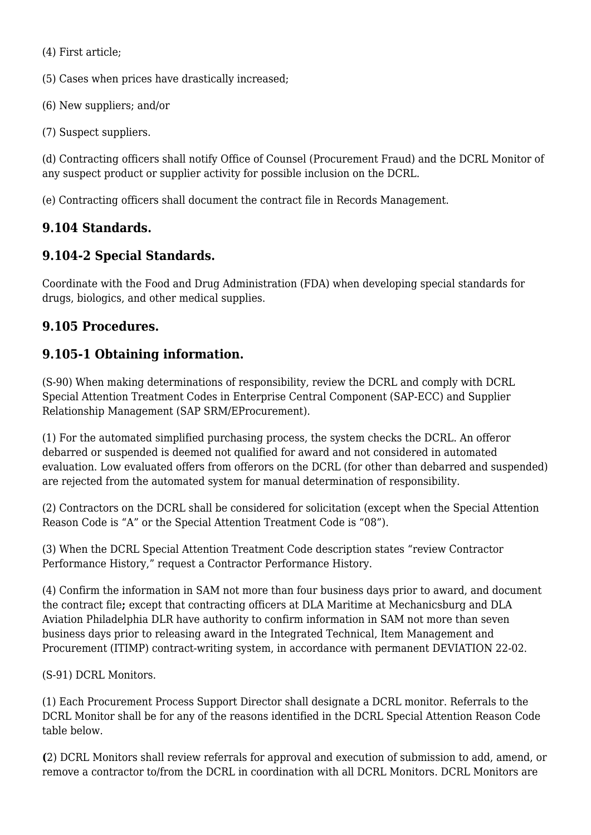(4) First article;

(5) Cases when prices have drastically increased;

(6) New suppliers; and/or

(7) Suspect suppliers.

(d) Contracting officers shall notify Office of Counsel (Procurement Fraud) and the DCRL Monitor of any suspect product or supplier activity for possible inclusion on the DCRL.

(e) Contracting officers shall document the contract file in Records Management.

# **9.104 Standards.**

# **9.104-2 Special Standards.**

Coordinate with the Food and Drug Administration (FDA) when developing special standards for drugs, biologics, and other medical supplies.

# **9.105 Procedures.**

# **9.105-1 Obtaining information.**

(S-90) When making determinations of responsibility, review the DCRL and comply with DCRL Special Attention Treatment Codes in Enterprise Central Component (SAP-ECC) and Supplier Relationship Management (SAP SRM/EProcurement).

(1) For the automated simplified purchasing process, the system checks the DCRL. An offeror debarred or suspended is deemed not qualified for award and not considered in automated evaluation. Low evaluated offers from offerors on the DCRL (for other than debarred and suspended) are rejected from the automated system for manual determination of responsibility.

(2) Contractors on the DCRL shall be considered for solicitation (except when the Special Attention Reason Code is "A" or the Special Attention Treatment Code is "08").

(3) When the DCRL Special Attention Treatment Code description states "review Contractor Performance History," request a Contractor Performance History.

(4) Confirm the information in SAM not more than four business days prior to award, and document the contract file**;** except that contracting officers at DLA Maritime at Mechanicsburg and DLA Aviation Philadelphia DLR have authority to confirm information in SAM not more than seven business days prior to releasing award in the Integrated Technical, Item Management and Procurement (ITIMP) contract-writing system, in accordance with permanent DEVIATION 22-02.

(S-91) DCRL Monitors.

(1) Each Procurement Process Support Director shall designate a DCRL monitor. Referrals to the DCRL Monitor shall be for any of the reasons identified in the DCRL Special Attention Reason Code table below.

**(**2) DCRL Monitors shall review referrals for approval and execution of submission to add, amend, or remove a contractor to/from the DCRL in coordination with all DCRL Monitors. DCRL Monitors are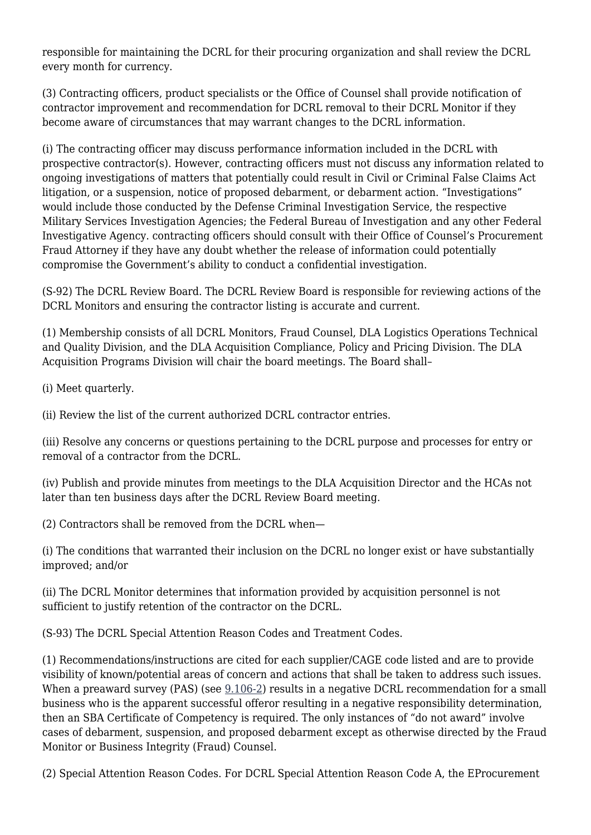responsible for maintaining the DCRL for their procuring organization and shall review the DCRL every month for currency.

(3) Contracting officers, product specialists or the Office of Counsel shall provide notification of contractor improvement and recommendation for DCRL removal to their DCRL Monitor if they become aware of circumstances that may warrant changes to the DCRL information.

(i) The contracting officer may discuss performance information included in the DCRL with prospective contractor(s). However, contracting officers must not discuss any information related to ongoing investigations of matters that potentially could result in Civil or Criminal False Claims Act litigation, or a suspension, notice of proposed debarment, or debarment action. "Investigations" would include those conducted by the Defense Criminal Investigation Service, the respective Military Services Investigation Agencies; the Federal Bureau of Investigation and any other Federal Investigative Agency. contracting officers should consult with their Office of Counsel's Procurement Fraud Attorney if they have any doubt whether the release of information could potentially compromise the Government's ability to conduct a confidential investigation.

(S-92) The DCRL Review Board. The DCRL Review Board is responsible for reviewing actions of the DCRL Monitors and ensuring the contractor listing is accurate and current.

(1) Membership consists of all DCRL Monitors, Fraud Counsel, DLA Logistics Operations Technical and Quality Division, and the DLA Acquisition Compliance, Policy and Pricing Division. The DLA Acquisition Programs Division will chair the board meetings. The Board shall–

(i) Meet quarterly.

(ii) Review the list of the current authorized DCRL contractor entries.

(iii) Resolve any concerns or questions pertaining to the DCRL purpose and processes for entry or removal of a contractor from the DCRL.

(iv) Publish and provide minutes from meetings to the DLA Acquisition Director and the HCAs not later than ten business days after the DCRL Review Board meeting.

(2) Contractors shall be removed from the DCRL when—

(i) The conditions that warranted their inclusion on the DCRL no longer exist or have substantially improved; and/or

(ii) The DCRL Monitor determines that information provided by acquisition personnel is not sufficient to justify retention of the contractor on the DCRL.

(S-93) The DCRL Special Attention Reason Codes and Treatment Codes.

(1) Recommendations/instructions are cited for each supplier/CAGE code listed and are to provide visibility of known/potential areas of concern and actions that shall be taken to address such issues. When a preaward survey (PAS) (see [9.106-2](https://www.acquisition.gov/%5Brp:link:dlad-part-9%5D#P9_106_2)) results in a negative DCRL recommendation for a small business who is the apparent successful offeror resulting in a negative responsibility determination, then an SBA Certificate of Competency is required. The only instances of "do not award" involve cases of debarment, suspension, and proposed debarment except as otherwise directed by the Fraud Monitor or Business Integrity (Fraud) Counsel.

(2) Special Attention Reason Codes. For DCRL Special Attention Reason Code A, the EProcurement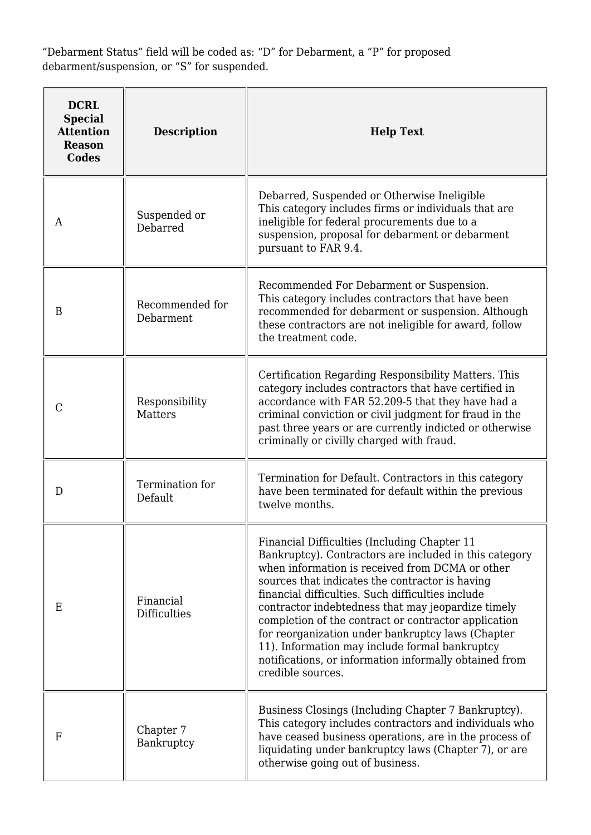"Debarment Status" field will be coded as: "D" for Debarment, a "P" for proposed debarment/suspension, or "S" for suspended.

| <b>DCRL</b><br><b>Special</b><br><b>Attention</b><br><b>Reason</b><br><b>Codes</b> | <b>Description</b>               | <b>Help Text</b>                                                                                                                                                                                                                                                                                                                                                                                                                                                                                                                                                      |  |  |  |  |
|------------------------------------------------------------------------------------|----------------------------------|-----------------------------------------------------------------------------------------------------------------------------------------------------------------------------------------------------------------------------------------------------------------------------------------------------------------------------------------------------------------------------------------------------------------------------------------------------------------------------------------------------------------------------------------------------------------------|--|--|--|--|
| A                                                                                  | Suspended or<br>Debarred         | Debarred, Suspended or Otherwise Ineligible<br>This category includes firms or individuals that are<br>ineligible for federal procurements due to a<br>suspension, proposal for debarment or debarment<br>pursuant to FAR 9.4.                                                                                                                                                                                                                                                                                                                                        |  |  |  |  |
| B                                                                                  | Recommended for<br>Debarment     | Recommended For Debarment or Suspension.<br>This category includes contractors that have been<br>recommended for debarment or suspension. Although<br>these contractors are not ineligible for award, follow<br>the treatment code.                                                                                                                                                                                                                                                                                                                                   |  |  |  |  |
| $\mathcal C$                                                                       | Responsibility<br>Matters        | Certification Regarding Responsibility Matters. This<br>category includes contractors that have certified in<br>accordance with FAR 52.209-5 that they have had a<br>criminal conviction or civil judgment for fraud in the<br>past three years or are currently indicted or otherwise<br>criminally or civilly charged with fraud.                                                                                                                                                                                                                                   |  |  |  |  |
| D                                                                                  | Termination for<br>Default       | Termination for Default. Contractors in this category<br>have been terminated for default within the previous<br>twelve months.                                                                                                                                                                                                                                                                                                                                                                                                                                       |  |  |  |  |
| Ε                                                                                  | Financial<br><b>Difficulties</b> | Financial Difficulties (Including Chapter 11<br>Bankruptcy). Contractors are included in this category<br>when information is received from DCMA or other<br>sources that indicates the contractor is having<br>financial difficulties. Such difficulties include<br>contractor indebtedness that may jeopardize timely<br>completion of the contract or contractor application<br>for reorganization under bankruptcy laws (Chapter<br>11). Information may include formal bankruptcy<br>notifications, or information informally obtained from<br>credible sources. |  |  |  |  |
| $\mathbf F$                                                                        | Chapter 7<br>Bankruptcy          | Business Closings (Including Chapter 7 Bankruptcy).<br>This category includes contractors and individuals who<br>have ceased business operations, are in the process of<br>liquidating under bankruptcy laws (Chapter 7), or are<br>otherwise going out of business.                                                                                                                                                                                                                                                                                                  |  |  |  |  |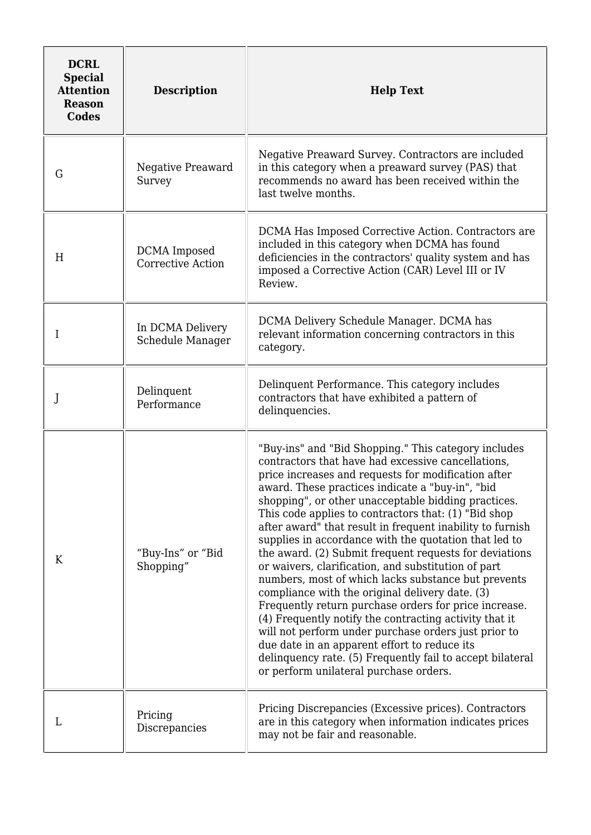| <b>DCRL</b><br><b>Special</b><br><b>Attention</b><br><b>Reason</b><br><b>Codes</b> | <b>Description</b>                   | <b>Help Text</b>                                                                                                                                                                                                                                                                                                                                                                                                                                                                                                                                                                                                                                                                                                                                                                                                                                                                                                                                                                                                        |  |  |  |  |
|------------------------------------------------------------------------------------|--------------------------------------|-------------------------------------------------------------------------------------------------------------------------------------------------------------------------------------------------------------------------------------------------------------------------------------------------------------------------------------------------------------------------------------------------------------------------------------------------------------------------------------------------------------------------------------------------------------------------------------------------------------------------------------------------------------------------------------------------------------------------------------------------------------------------------------------------------------------------------------------------------------------------------------------------------------------------------------------------------------------------------------------------------------------------|--|--|--|--|
| G                                                                                  | <b>Negative Preaward</b><br>Survey   | Negative Preaward Survey. Contractors are included<br>in this category when a preaward survey (PAS) that<br>recommends no award has been received within the<br>last twelve months.                                                                                                                                                                                                                                                                                                                                                                                                                                                                                                                                                                                                                                                                                                                                                                                                                                     |  |  |  |  |
| H                                                                                  | DCMA Imposed<br>Corrective Action    | DCMA Has Imposed Corrective Action. Contractors are<br>included in this category when DCMA has found<br>deficiencies in the contractors' quality system and has<br>imposed a Corrective Action (CAR) Level III or IV<br>Review.                                                                                                                                                                                                                                                                                                                                                                                                                                                                                                                                                                                                                                                                                                                                                                                         |  |  |  |  |
| I                                                                                  | In DCMA Delivery<br>Schedule Manager | DCMA Delivery Schedule Manager. DCMA has<br>relevant information concerning contractors in this<br>category.                                                                                                                                                                                                                                                                                                                                                                                                                                                                                                                                                                                                                                                                                                                                                                                                                                                                                                            |  |  |  |  |
|                                                                                    | Delinquent<br>Performance            | Delinquent Performance. This category includes<br>contractors that have exhibited a pattern of<br>delinquencies.                                                                                                                                                                                                                                                                                                                                                                                                                                                                                                                                                                                                                                                                                                                                                                                                                                                                                                        |  |  |  |  |
| K                                                                                  | "Buy-Ins" or "Bid<br>Shopping"       | "Buy-ins" and "Bid Shopping." This category includes<br>contractors that have had excessive cancellations,<br>price increases and requests for modification after<br>award. These practices indicate a "buy-in", "bid<br>shopping", or other unacceptable bidding practices.<br>This code applies to contractors that: (1) "Bid shop<br>after award" that result in frequent inability to furnish<br>supplies in accordance with the quotation that led to<br>the award. (2) Submit frequent requests for deviations<br>or waivers, clarification, and substitution of part<br>numbers, most of which lacks substance but prevents<br>compliance with the original delivery date. (3)<br>Frequently return purchase orders for price increase.<br>(4) Frequently notify the contracting activity that it<br>will not perform under purchase orders just prior to<br>due date in an apparent effort to reduce its<br>delinquency rate. (5) Frequently fail to accept bilateral<br>or perform unilateral purchase orders. |  |  |  |  |
| L                                                                                  | Pricing<br>Discrepancies             | Pricing Discrepancies (Excessive prices). Contractors<br>are in this category when information indicates prices<br>may not be fair and reasonable.                                                                                                                                                                                                                                                                                                                                                                                                                                                                                                                                                                                                                                                                                                                                                                                                                                                                      |  |  |  |  |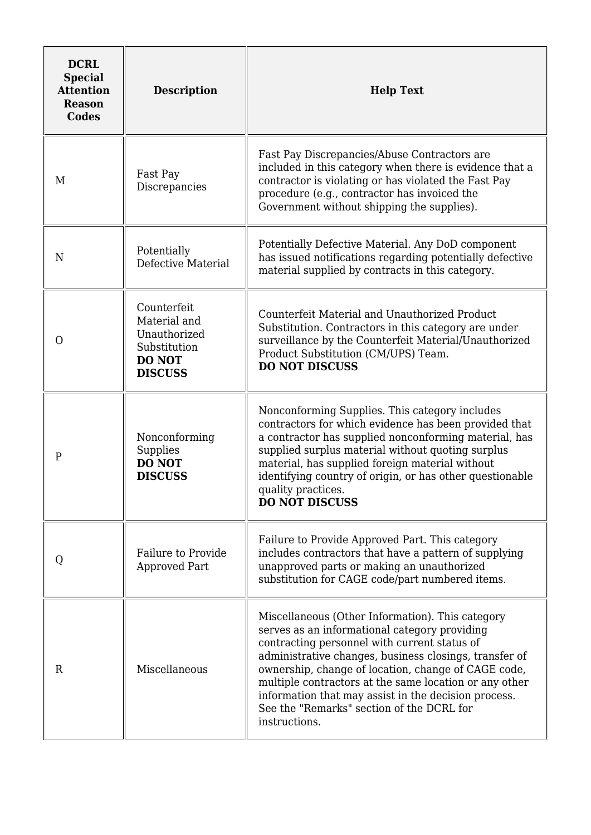| <b>DCRL</b><br><b>Special</b><br><b>Attention</b><br><b>Reason</b><br><b>Codes</b> | <b>Description</b>                                                                             | <b>Help Text</b>                                                                                                                                                                                                                                                                                                                                                                                                                                   |  |  |  |  |
|------------------------------------------------------------------------------------|------------------------------------------------------------------------------------------------|----------------------------------------------------------------------------------------------------------------------------------------------------------------------------------------------------------------------------------------------------------------------------------------------------------------------------------------------------------------------------------------------------------------------------------------------------|--|--|--|--|
| M                                                                                  | Fast Pay<br>Discrepancies                                                                      | Fast Pay Discrepancies/Abuse Contractors are<br>included in this category when there is evidence that a<br>contractor is violating or has violated the Fast Pay<br>procedure (e.g., contractor has invoiced the<br>Government without shipping the supplies).                                                                                                                                                                                      |  |  |  |  |
| N                                                                                  | Potentially<br>Defective Material                                                              | Potentially Defective Material. Any DoD component<br>has issued notifications regarding potentially defective<br>material supplied by contracts in this category.                                                                                                                                                                                                                                                                                  |  |  |  |  |
| $\Omega$                                                                           | Counterfeit<br>Material and<br>Unauthorized<br>Substitution<br><b>DO NOT</b><br><b>DISCUSS</b> | Counterfeit Material and Unauthorized Product<br>Substitution. Contractors in this category are under<br>surveillance by the Counterfeit Material/Unauthorized<br>Product Substitution (CM/UPS) Team.<br><b>DO NOT DISCUSS</b>                                                                                                                                                                                                                     |  |  |  |  |
| $\mathbf{P}$                                                                       | Nonconforming<br>Supplies<br><b>DO NOT</b><br><b>DISCUSS</b>                                   | Nonconforming Supplies. This category includes<br>contractors for which evidence has been provided that<br>a contractor has supplied nonconforming material, has<br>supplied surplus material without quoting surplus<br>material, has supplied foreign material without<br>identifying country of origin, or has other questionable<br>quality practices.<br><b>DO NOT DISCUSS</b>                                                                |  |  |  |  |
| Q                                                                                  | Failure to Provide<br>Approved Part                                                            | Failure to Provide Approved Part. This category<br>includes contractors that have a pattern of supplying<br>unapproved parts or making an unauthorized<br>substitution for CAGE code/part numbered items.                                                                                                                                                                                                                                          |  |  |  |  |
| $\mathbf R$                                                                        | Miscellaneous                                                                                  | Miscellaneous (Other Information). This category<br>serves as an informational category providing<br>contracting personnel with current status of<br>administrative changes, business closings, transfer of<br>ownership, change of location, change of CAGE code,<br>multiple contractors at the same location or any other<br>information that may assist in the decision process.<br>See the "Remarks" section of the DCRL for<br>instructions. |  |  |  |  |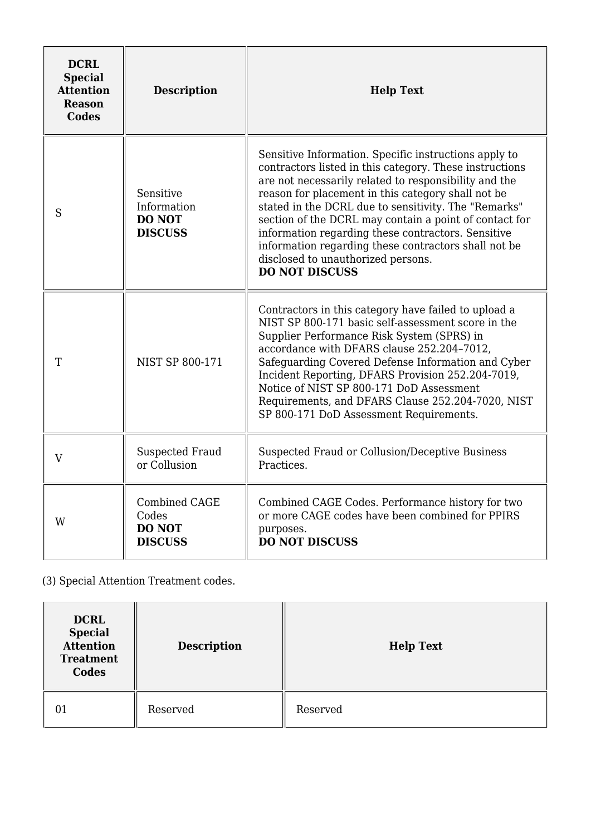| <b>DCRL</b><br><b>Special</b><br><b>Attention</b><br><b>Reason</b><br><b>Codes</b> | <b>Description</b>                                               | <b>Help Text</b>                                                                                                                                                                                                                                                                                                                                                                                                                                                                                                               |
|------------------------------------------------------------------------------------|------------------------------------------------------------------|--------------------------------------------------------------------------------------------------------------------------------------------------------------------------------------------------------------------------------------------------------------------------------------------------------------------------------------------------------------------------------------------------------------------------------------------------------------------------------------------------------------------------------|
| S                                                                                  | Sensitive<br>Information<br><b>DO NOT</b><br><b>DISCUSS</b>      | Sensitive Information. Specific instructions apply to<br>contractors listed in this category. These instructions<br>are not necessarily related to responsibility and the<br>reason for placement in this category shall not be<br>stated in the DCRL due to sensitivity. The "Remarks"<br>section of the DCRL may contain a point of contact for<br>information regarding these contractors. Sensitive<br>information regarding these contractors shall not be<br>disclosed to unauthorized persons.<br><b>DO NOT DISCUSS</b> |
| T                                                                                  | <b>NIST SP 800-171</b>                                           | Contractors in this category have failed to upload a<br>NIST SP 800-171 basic self-assessment score in the<br>Supplier Performance Risk System (SPRS) in<br>accordance with DFARS clause 252.204-7012,<br>Safeguarding Covered Defense Information and Cyber<br>Incident Reporting, DFARS Provision 252.204-7019,<br>Notice of NIST SP 800-171 DoD Assessment<br>Requirements, and DFARS Clause 252.204-7020, NIST<br>SP 800-171 DoD Assessment Requirements.                                                                  |
| $\mathbf{V}$                                                                       | Suspected Fraud<br>or Collusion                                  | Suspected Fraud or Collusion/Deceptive Business<br>Practices.                                                                                                                                                                                                                                                                                                                                                                                                                                                                  |
| W                                                                                  | <b>Combined CAGE</b><br>Codes<br><b>DO NOT</b><br><b>DISCUSS</b> | Combined CAGE Codes. Performance history for two<br>or more CAGE codes have been combined for PPIRS<br>purposes.<br><b>DO NOT DISCUSS</b>                                                                                                                                                                                                                                                                                                                                                                                      |

(3) Special Attention Treatment codes.

| <b>DCRL</b><br><b>Special</b><br><b>Attention</b><br><b>Treatment</b><br><b>Codes</b> | <b>Description</b> | <b>Help Text</b> |  |
|---------------------------------------------------------------------------------------|--------------------|------------------|--|
| 01                                                                                    | Reserved           | Reserved         |  |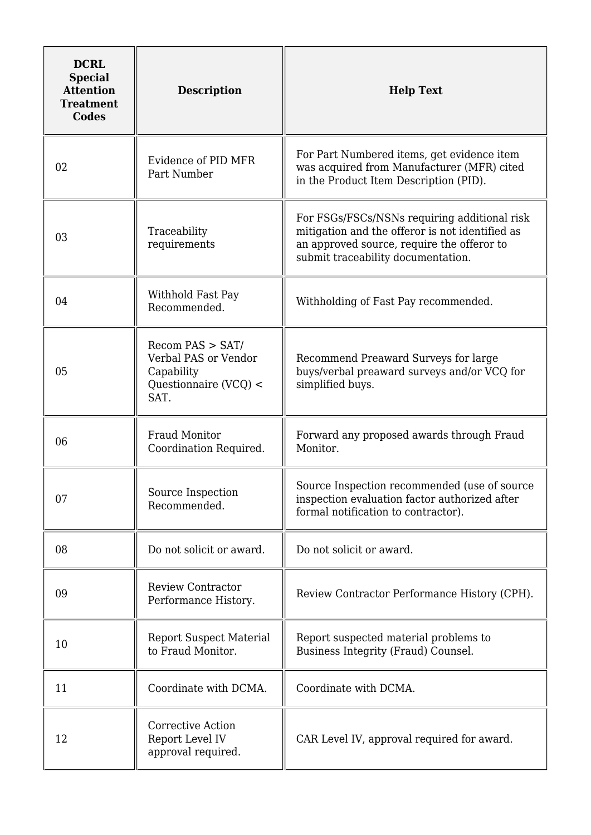| <b>DCRL</b><br><b>Special</b><br><b>Attention</b><br><b>Treatment</b><br><b>Codes</b> | <b>Description</b>                                                                           | <b>Help Text</b>                                                                                                                                                                    |  |  |
|---------------------------------------------------------------------------------------|----------------------------------------------------------------------------------------------|-------------------------------------------------------------------------------------------------------------------------------------------------------------------------------------|--|--|
| 02                                                                                    | Evidence of PID MFR<br>Part Number                                                           | For Part Numbered items, get evidence item<br>was acquired from Manufacturer (MFR) cited<br>in the Product Item Description (PID).                                                  |  |  |
| 03                                                                                    | Traceability<br>requirements                                                                 | For FSGs/FSCs/NSNs requiring additional risk<br>mitigation and the offeror is not identified as<br>an approved source, require the offeror to<br>submit traceability documentation. |  |  |
| 04                                                                                    | Withhold Fast Pay<br>Recommended.                                                            | Withholding of Fast Pay recommended.                                                                                                                                                |  |  |
| 05                                                                                    | Recom PAS > SAT/<br>Verbal PAS or Vendor<br>Capability<br>Questionnaire (VCQ) $\leq$<br>SAT. | Recommend Preaward Surveys for large<br>buys/verbal preaward surveys and/or VCQ for<br>simplified buys.                                                                             |  |  |
| 06                                                                                    | <b>Fraud Monitor</b><br>Coordination Required.                                               | Forward any proposed awards through Fraud<br>Monitor.                                                                                                                               |  |  |
| 07                                                                                    | Source Inspection<br>Recommended.                                                            | Source Inspection recommended (use of source<br>inspection evaluation factor authorized after<br>formal notification to contractor).                                                |  |  |
| 08                                                                                    | Do not solicit or award.                                                                     | Do not solicit or award.                                                                                                                                                            |  |  |
| 09                                                                                    | <b>Review Contractor</b><br>Performance History.                                             | Review Contractor Performance History (CPH).                                                                                                                                        |  |  |
| 10                                                                                    | <b>Report Suspect Material</b><br>to Fraud Monitor.                                          | Report suspected material problems to<br>Business Integrity (Fraud) Counsel.                                                                                                        |  |  |
| 11                                                                                    | Coordinate with DCMA.                                                                        | Coordinate with DCMA.                                                                                                                                                               |  |  |
| 12                                                                                    | Corrective Action<br>Report Level IV<br>approval required.                                   | CAR Level IV, approval required for award.                                                                                                                                          |  |  |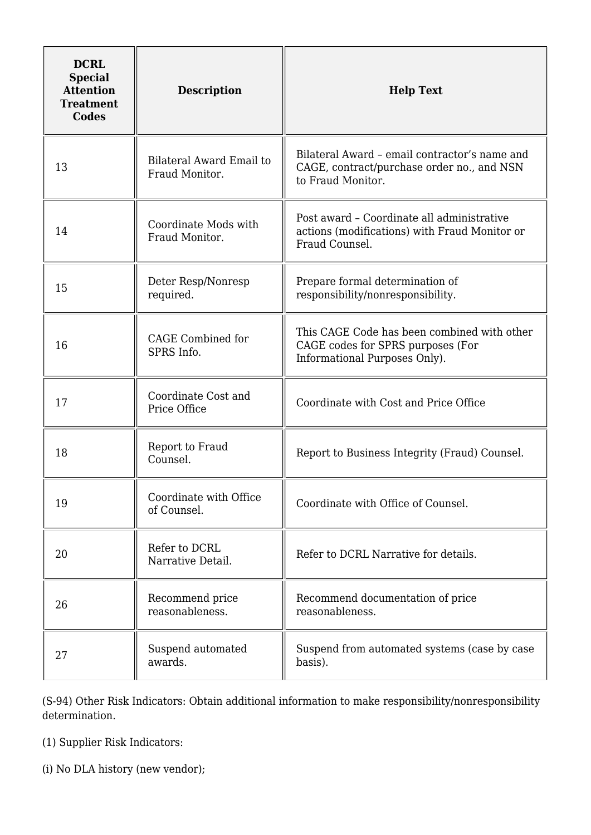| <b>DCRL</b><br><b>Special</b><br><b>Attention</b><br><b>Treatment</b><br><b>Codes</b> | <b>Description</b>                         | <b>Help Text</b>                                                                                                  |  |  |
|---------------------------------------------------------------------------------------|--------------------------------------------|-------------------------------------------------------------------------------------------------------------------|--|--|
| 13                                                                                    | Bilateral Award Email to<br>Fraud Monitor. | Bilateral Award - email contractor's name and<br>CAGE, contract/purchase order no., and NSN<br>to Fraud Monitor.  |  |  |
| 14                                                                                    | Coordinate Mods with<br>Fraud Monitor.     | Post award - Coordinate all administrative<br>actions (modifications) with Fraud Monitor or<br>Fraud Counsel.     |  |  |
| 15                                                                                    | Deter Resp/Nonresp<br>required.            | Prepare formal determination of<br>responsibility/nonresponsibility.                                              |  |  |
| 16                                                                                    | CAGE Combined for<br>SPRS Info.            | This CAGE Code has been combined with other<br>CAGE codes for SPRS purposes (For<br>Informational Purposes Only). |  |  |
| 17                                                                                    | Coordinate Cost and<br>Price Office        | Coordinate with Cost and Price Office                                                                             |  |  |
| 18                                                                                    | Report to Fraud<br>Counsel.                | Report to Business Integrity (Fraud) Counsel.                                                                     |  |  |
| 19                                                                                    | Coordinate with Office<br>of Counsel.      | Coordinate with Office of Counsel.                                                                                |  |  |
| 20                                                                                    | Refer to DCRL<br>Narrative Detail.         | Refer to DCRL Narrative for details.                                                                              |  |  |
| 26                                                                                    | Recommend price<br>reasonableness.         | Recommend documentation of price<br>reasonableness.                                                               |  |  |
| 27                                                                                    | Suspend automated<br>awards.               | Suspend from automated systems (case by case<br>basis).                                                           |  |  |

(S-94) Other Risk Indicators: Obtain additional information to make responsibility/nonresponsibility determination.

(1) Supplier Risk Indicators:

(i) No DLA history (new vendor);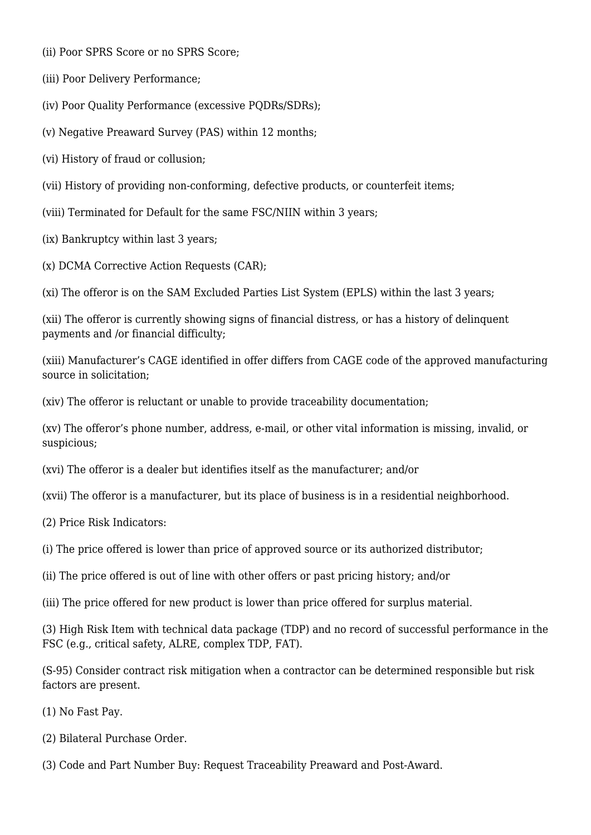- (ii) Poor SPRS Score or no SPRS Score;
- (iii) Poor Delivery Performance;
- (iv) Poor Quality Performance (excessive PQDRs/SDRs);
- (v) Negative Preaward Survey (PAS) within 12 months;
- (vi) History of fraud or collusion;
- (vii) History of providing non-conforming, defective products, or counterfeit items;
- (viii) Terminated for Default for the same FSC/NIIN within 3 years;
- (ix) Bankruptcy within last 3 years;
- (x) DCMA Corrective Action Requests (CAR);
- (xi) The offeror is on the SAM Excluded Parties List System (EPLS) within the last 3 years;
- (xii) The offeror is currently showing signs of financial distress, or has a history of delinquent payments and /or financial difficulty;
- (xiii) Manufacturer's CAGE identified in offer differs from CAGE code of the approved manufacturing source in solicitation;
- (xiv) The offeror is reluctant or unable to provide traceability documentation;
- (xv) The offeror's phone number, address, e-mail, or other vital information is missing, invalid, or suspicious;
- (xvi) The offeror is a dealer but identifies itself as the manufacturer; and/or
- (xvii) The offeror is a manufacturer, but its place of business is in a residential neighborhood.
- (2) Price Risk Indicators:
- (i) The price offered is lower than price of approved source or its authorized distributor;
- (ii) The price offered is out of line with other offers or past pricing history; and/or
- (iii) The price offered for new product is lower than price offered for surplus material.
- (3) High Risk Item with technical data package (TDP) and no record of successful performance in the FSC (e.g., critical safety, ALRE, complex TDP, FAT).
- (S-95) Consider contract risk mitigation when a contractor can be determined responsible but risk factors are present.
- (1) No Fast Pay.
- (2) Bilateral Purchase Order.
- (3) Code and Part Number Buy: Request Traceability Preaward and Post-Award.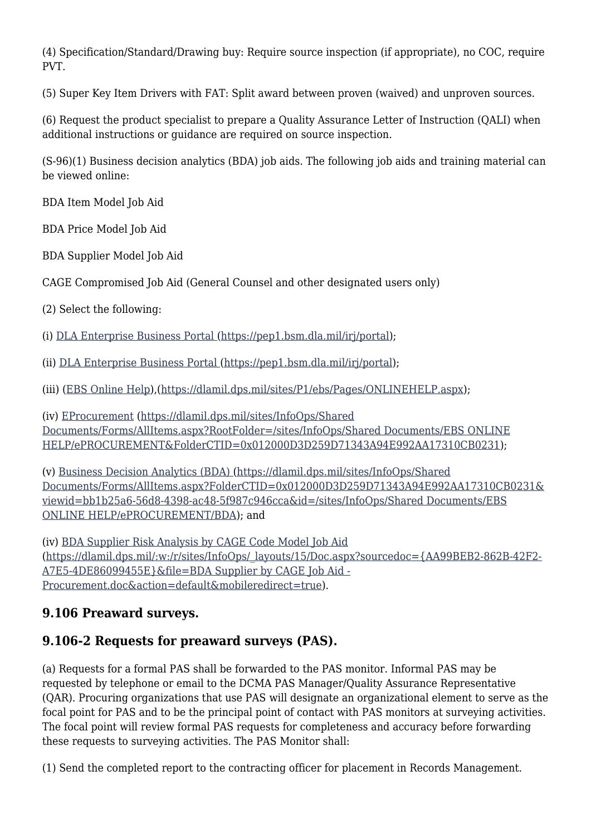(4) Specification/Standard/Drawing buy: Require source inspection (if appropriate), no COC, require PVT.

(5) Super Key Item Drivers with FAT: Split award between proven (waived) and unproven sources.

(6) Request the product specialist to prepare a Quality Assurance Letter of Instruction (QALI) when additional instructions or guidance are required on source inspection.

(S-96)(1) Business decision analytics (BDA) job aids. The following job aids and training material can be viewed online:

BDA Item Model Job Aid

BDA Price Model Job Aid

BDA Supplier Model Job Aid

CAGE Compromised Job Aid (General Counsel and other designated users only)

(2) Select the following:

(i) [DLA Enterprise Business Portal \(https://pep1.bsm.dla.mil/irj/portal](https://pep1.bsm.dla.mil/irj/portal));

(ii) [DLA Enterprise Business Portal \(https://pep1.bsm.dla.mil/irj/portal](https://pep1.bsm.dla.mil/irj/portal));

(iii) ([EBS Online Help](https://dlamil.dps.mil/sites/P1/ebs/Pages/ONLINEHELP.aspx)),[\(https://dlamil.dps.mil/sites/P1/ebs/Pages/ONLINEHELP.aspx\)](https://dlamil.dps.mil/sites/P1/ebs/Pages/ONLINEHELP.aspx);

(iv) [EProcurement](https://dlamil.dps.mil/sites/InfoOps/Shared%20Documents/Forms/AllItems.aspx?RootFolder=/sites/InfoOps/Shared%20Documents/EBS%20ONLINE%20HELP/ePROCUREMENT&FolderCTID=0x012000D3D259D71343A94E992AA17310CB0231) ([https://dlamil.dps.mil/sites/InfoOps/Shared](https://dlamil.dps.mil/sites/InfoOps/Shared%20Documents/Forms/AllItems.aspx?RootFolder=/sites/InfoOps/Shared%20Documents/EBS%20ONLINE%20HELP/ePROCUREMENT&FolderCTID=0x012000D3D259D71343A94E992AA17310CB0231) [Documents/Forms/AllItems.aspx?RootFolder=/sites/InfoOps/Shared Documents/EBS ONLINE](https://dlamil.dps.mil/sites/InfoOps/Shared%20Documents/Forms/AllItems.aspx?RootFolder=/sites/InfoOps/Shared%20Documents/EBS%20ONLINE%20HELP/ePROCUREMENT&FolderCTID=0x012000D3D259D71343A94E992AA17310CB0231) [HELP/ePROCUREMENT&FolderCTID=0x012000D3D259D71343A94E992AA17310CB0231\)](https://dlamil.dps.mil/sites/InfoOps/Shared%20Documents/Forms/AllItems.aspx?RootFolder=/sites/InfoOps/Shared%20Documents/EBS%20ONLINE%20HELP/ePROCUREMENT&FolderCTID=0x012000D3D259D71343A94E992AA17310CB0231);

(v) [Business Decision Analytics \(BDA\) \(https://dlamil.dps.mil/sites/InfoOps/Shared](https://dlamil.dps.mil/sites/InfoOps/Shared%20Documents/Forms/AllItems.aspx?FolderCTID=0x012000D3D259D71343A94E992AA17310CB0231&viewid=bb1b25a6-56d8-4398-ac48-5f987c946cca&id=/sites/InfoOps/Shared%20Documents/EBS%20ONLINE%20HELP/ePROCUREMENT/BDA) [Documents/Forms/AllItems.aspx?FolderCTID=0x012000D3D259D71343A94E992AA17310CB0231&](https://dlamil.dps.mil/sites/InfoOps/Shared%20Documents/Forms/AllItems.aspx?FolderCTID=0x012000D3D259D71343A94E992AA17310CB0231&viewid=bb1b25a6-56d8-4398-ac48-5f987c946cca&id=/sites/InfoOps/Shared%20Documents/EBS%20ONLINE%20HELP/ePROCUREMENT/BDA) [viewid=bb1b25a6-56d8-4398-ac48-5f987c946cca&id=/sites/InfoOps/Shared Documents/EBS](https://dlamil.dps.mil/sites/InfoOps/Shared%20Documents/Forms/AllItems.aspx?FolderCTID=0x012000D3D259D71343A94E992AA17310CB0231&viewid=bb1b25a6-56d8-4398-ac48-5f987c946cca&id=/sites/InfoOps/Shared%20Documents/EBS%20ONLINE%20HELP/ePROCUREMENT/BDA) [ONLINE HELP/ePROCUREMENT/BDA](https://dlamil.dps.mil/sites/InfoOps/Shared%20Documents/Forms/AllItems.aspx?FolderCTID=0x012000D3D259D71343A94E992AA17310CB0231&viewid=bb1b25a6-56d8-4398-ac48-5f987c946cca&id=/sites/InfoOps/Shared%20Documents/EBS%20ONLINE%20HELP/ePROCUREMENT/BDA)); and

(iv) [BDA Supplier Risk Analysis by CAGE Code Model Job Aid](https://dlamil.dps.mil/:w:/r/sites/InfoOps/_layouts/15/Doc.aspx?sourcedoc=%7BAA99BEB2-862B-42F2-A7E5-4DE86099455E%7D&file=BDA%20Supplier%20by%20CAGE%20Job%20Aid%20-%20Procurement.doc&action=default&mobileredirect=true) [\(https://dlamil.dps.mil/:w:/r/sites/InfoOps/\\_layouts/15/Doc.aspx?sourcedoc={AA99BEB2-862B-42F2-](https://dlamil.dps.mil/:w:/r/sites/InfoOps/_layouts/15/Doc.aspx?sourcedoc=%7BAA99BEB2-862B-42F2-A7E5-4DE86099455E%7D&file=BDA%20Supplier%20by%20CAGE%20Job%20Aid%20-%20Procurement.doc&action=default&mobileredirect=true) [A7E5-4DE86099455E}&file=BDA Supplier by CAGE Job Aid -](https://dlamil.dps.mil/:w:/r/sites/InfoOps/_layouts/15/Doc.aspx?sourcedoc=%7BAA99BEB2-862B-42F2-A7E5-4DE86099455E%7D&file=BDA%20Supplier%20by%20CAGE%20Job%20Aid%20-%20Procurement.doc&action=default&mobileredirect=true) [Procurement.doc&action=default&mobileredirect=true](https://dlamil.dps.mil/:w:/r/sites/InfoOps/_layouts/15/Doc.aspx?sourcedoc=%7BAA99BEB2-862B-42F2-A7E5-4DE86099455E%7D&file=BDA%20Supplier%20by%20CAGE%20Job%20Aid%20-%20Procurement.doc&action=default&mobileredirect=true)).

# **9.106 Preaward surveys.**

# **9.106-2 Requests for preaward surveys (PAS).**

(a) Requests for a formal PAS shall be forwarded to the PAS monitor. Informal PAS may be requested by telephone or email to the DCMA PAS Manager/Quality Assurance Representative (QAR). Procuring organizations that use PAS will designate an organizational element to serve as the focal point for PAS and to be the principal point of contact with PAS monitors at surveying activities. The focal point will review formal PAS requests for completeness and accuracy before forwarding these requests to surveying activities. The PAS Monitor shall:

(1) Send the completed report to the contracting officer for placement in Records Management.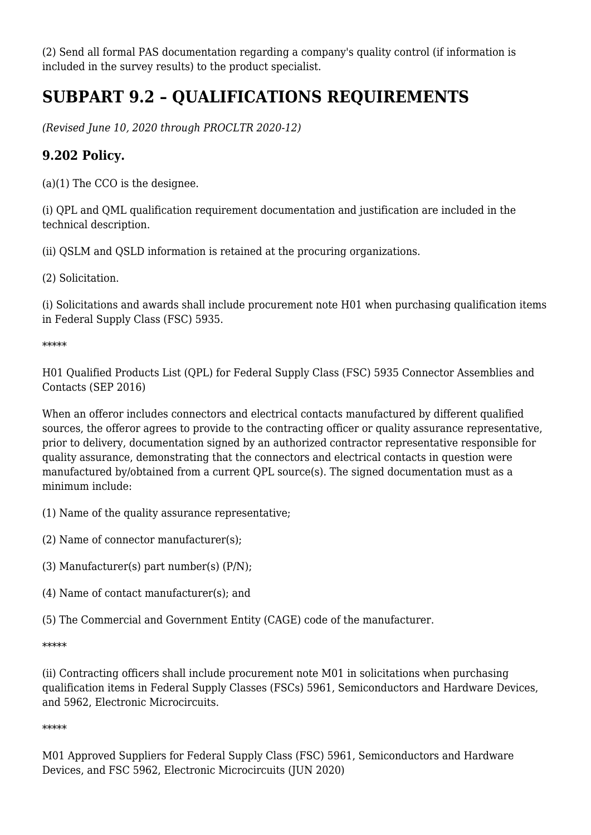(2) Send all formal PAS documentation regarding a company's quality control (if information is included in the survey results) to the product specialist.

# **SUBPART 9.2 – QUALIFICATIONS REQUIREMENTS**

*(Revised June 10, 2020 through PROCLTR 2020-12)*

#### **9.202 Policy.**

(a)(1) The CCO is the designee.

(i) QPL and QML qualification requirement documentation and justification are included in the technical description.

(ii) QSLM and QSLD information is retained at the procuring organizations.

(2) Solicitation.

(i) Solicitations and awards shall include procurement note H01 when purchasing qualification items in Federal Supply Class (FSC) 5935.

\*\*\*\*\*

H01 Qualified Products List (QPL) for Federal Supply Class (FSC) 5935 Connector Assemblies and Contacts (SEP 2016)

When an offeror includes connectors and electrical contacts manufactured by different qualified sources, the offeror agrees to provide to the contracting officer or quality assurance representative, prior to delivery, documentation signed by an authorized contractor representative responsible for quality assurance, demonstrating that the connectors and electrical contacts in question were manufactured by/obtained from a current QPL source(s). The signed documentation must as a minimum include:

- (1) Name of the quality assurance representative;
- (2) Name of connector manufacturer(s);
- (3) Manufacturer(s) part number(s) (P/N);
- (4) Name of contact manufacturer(s); and
- (5) The Commercial and Government Entity (CAGE) code of the manufacturer.

\*\*\*\*\*

(ii) Contracting officers shall include procurement note M01 in solicitations when purchasing qualification items in Federal Supply Classes (FSCs) 5961, Semiconductors and Hardware Devices, and 5962, Electronic Microcircuits.

\*\*\*\*\*

M01 Approved Suppliers for Federal Supply Class (FSC) 5961, Semiconductors and Hardware Devices, and FSC 5962, Electronic Microcircuits (JUN 2020)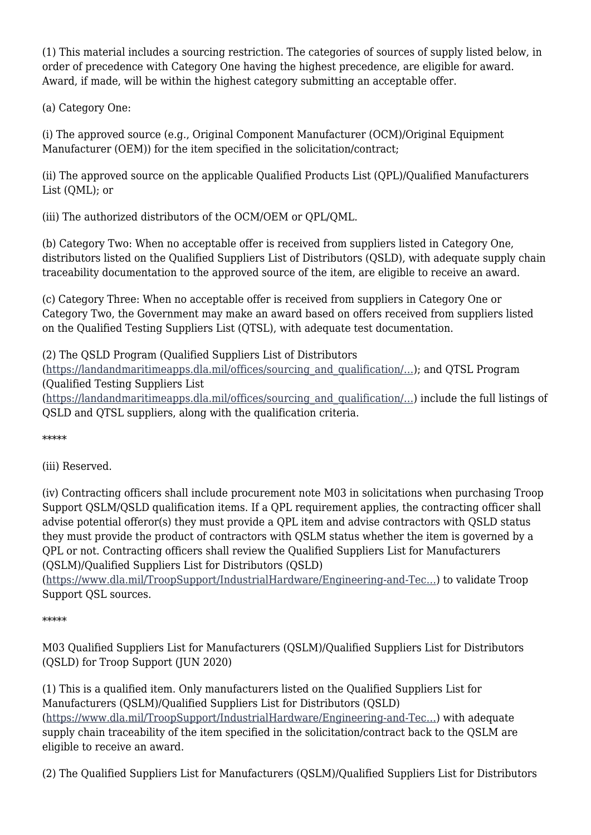(1) This material includes a sourcing restriction. The categories of sources of supply listed below, in order of precedence with Category One having the highest precedence, are eligible for award. Award, if made, will be within the highest category submitting an acceptable offer.

(a) Category One:

(i) The approved source (e.g., Original Component Manufacturer (OCM)/Original Equipment Manufacturer (OEM)) for the item specified in the solicitation/contract;

(ii) The approved source on the applicable Qualified Products List (QPL)/Qualified Manufacturers List (QML); or

(iii) The authorized distributors of the OCM/OEM or QPL/QML.

(b) Category Two: When no acceptable offer is received from suppliers listed in Category One, distributors listed on the Qualified Suppliers List of Distributors (QSLD), with adequate supply chain traceability documentation to the approved source of the item, are eligible to receive an award.

(c) Category Three: When no acceptable offer is received from suppliers in Category One or Category Two, the Government may make an award based on offers received from suppliers listed on the Qualified Testing Suppliers List (QTSL), with adequate test documentation.

(2) The QSLD Program (Qualified Suppliers List of Distributors

[\(https://landandmaritimeapps.dla.mil/offices/sourcing\\_and\\_qualification/…\)](https://landandmaritimeapps.dla.mil/offices/sourcing_and_qualification/offices.aspx?Section=QSL); and QTSL Program (Qualified Testing Suppliers List

[\(https://landandmaritimeapps.dla.mil/offices/sourcing\\_and\\_qualification/…\)](https://landandmaritimeapps.dla.mil/offices/sourcing_and_qualification/offices.aspx?Section=QTS) include the full listings of QSLD and QTSL suppliers, along with the qualification criteria.

\*\*\*\*\*

(iii) Reserved.

(iv) Contracting officers shall include procurement note M03 in solicitations when purchasing Troop Support QSLM/QSLD qualification items. If a QPL requirement applies, the contracting officer shall advise potential offeror(s) they must provide a QPL item and advise contractors with QSLD status they must provide the product of contractors with QSLM status whether the item is governed by a QPL or not. Contracting officers shall review the Qualified Suppliers List for Manufacturers (QSLM)/Qualified Suppliers List for Distributors (QSLD)

[\(https://www.dla.mil/TroopSupport/IndustrialHardware/Engineering-and-Tec…\)](https://www.dla.mil/TroopSupport/IndustrialHardware/Engineering-and-Technical-services/Qualified-Suppliers-List/) to validate Troop Support QSL sources.

\*\*\*\*\*

M03 Qualified Suppliers List for Manufacturers (QSLM)/Qualified Suppliers List for Distributors (QSLD) for Troop Support (JUN 2020)

(1) This is a qualified item. Only manufacturers listed on the Qualified Suppliers List for Manufacturers (QSLM)/Qualified Suppliers List for Distributors (QSLD) [\(https://www.dla.mil/TroopSupport/IndustrialHardware/Engineering-and-Tec…\)](https://www.dla.mil/TroopSupport/IndustrialHardware/Engineering-and-Technical-services/Qualified-Suppliers-List/) with adequate supply chain traceability of the item specified in the solicitation/contract back to the QSLM are eligible to receive an award.

(2) The Qualified Suppliers List for Manufacturers (QSLM)/Qualified Suppliers List for Distributors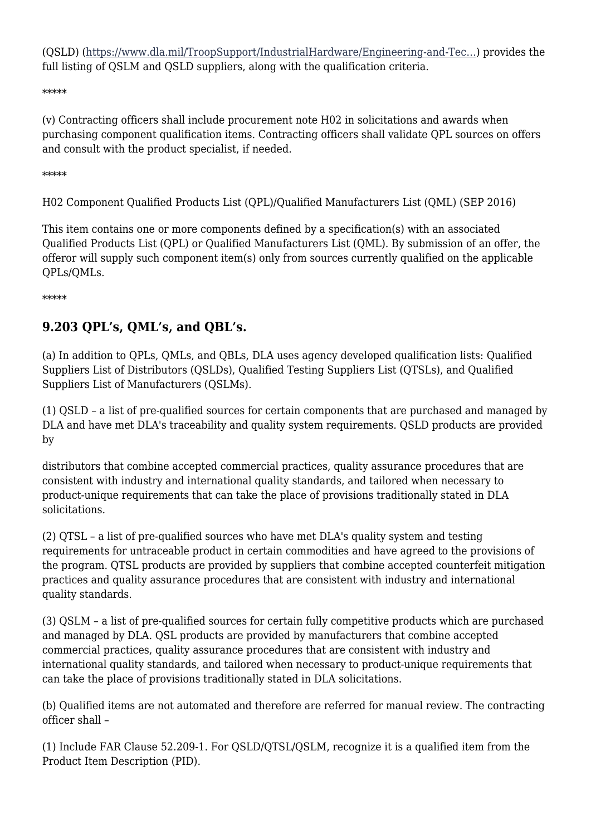(QSLD) ([https://www.dla.mil/TroopSupport/IndustrialHardware/Engineering-and-Tec…\)](https://www.dla.mil/TroopSupport/IndustrialHardware/Engineering-and-Technical-services/Qualified-Suppliers-List/) provides the full listing of QSLM and QSLD suppliers, along with the qualification criteria.

\*\*\*\*\*

(v) Contracting officers shall include procurement note H02 in solicitations and awards when purchasing component qualification items. Contracting officers shall validate QPL sources on offers and consult with the product specialist, if needed.

\*\*\*\*\*

H02 Component Qualified Products List (QPL)/Qualified Manufacturers List (QML) (SEP 2016)

This item contains one or more components defined by a specification(s) with an associated Qualified Products List (QPL) or Qualified Manufacturers List (QML). By submission of an offer, the offeror will supply such component item(s) only from sources currently qualified on the applicable QPLs/QMLs.

\*\*\*\*\*

#### **9.203 QPL's, QML's, and QBL's.**

(a) In addition to QPLs, QMLs, and QBLs, DLA uses agency developed qualification lists: Qualified Suppliers List of Distributors (QSLDs), Qualified Testing Suppliers List (QTSLs), and Qualified Suppliers List of Manufacturers (QSLMs).

(1) QSLD – a list of pre-qualified sources for certain components that are purchased and managed by DLA and have met DLA's traceability and quality system requirements. QSLD products are provided by

distributors that combine accepted commercial practices, quality assurance procedures that are consistent with industry and international quality standards, and tailored when necessary to product-unique requirements that can take the place of provisions traditionally stated in DLA solicitations.

(2) QTSL – a list of pre-qualified sources who have met DLA's quality system and testing requirements for untraceable product in certain commodities and have agreed to the provisions of the program. QTSL products are provided by suppliers that combine accepted counterfeit mitigation practices and quality assurance procedures that are consistent with industry and international quality standards.

(3) QSLM – a list of pre-qualified sources for certain fully competitive products which are purchased and managed by DLA. QSL products are provided by manufacturers that combine accepted commercial practices, quality assurance procedures that are consistent with industry and international quality standards, and tailored when necessary to product-unique requirements that can take the place of provisions traditionally stated in DLA solicitations.

(b) Qualified items are not automated and therefore are referred for manual review. The contracting officer shall –

(1) Include FAR Clause 52.209-1. For QSLD/QTSL/QSLM, recognize it is a qualified item from the Product Item Description (PID).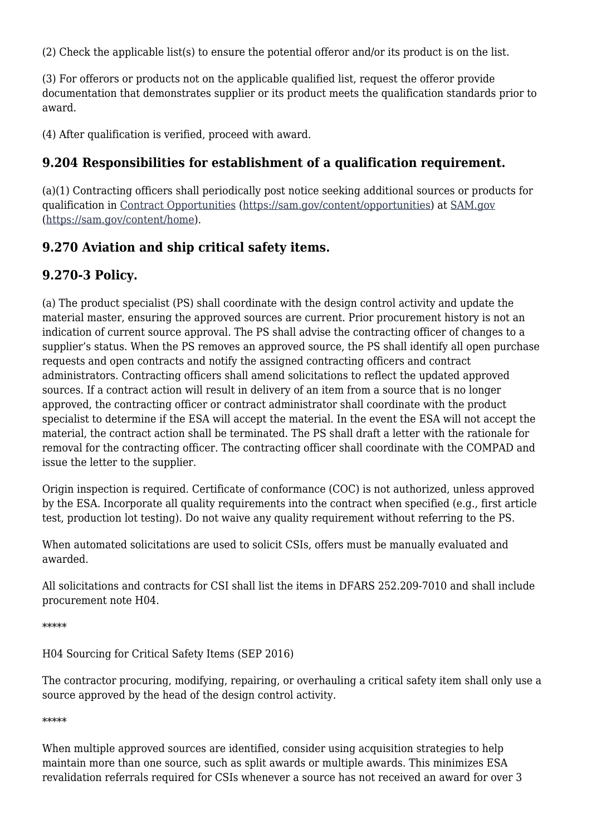(2) Check the applicable list(s) to ensure the potential offeror and/or its product is on the list.

(3) For offerors or products not on the applicable qualified list, request the offeror provide documentation that demonstrates supplier or its product meets the qualification standards prior to award.

(4) After qualification is verified, proceed with award.

# **9.204 Responsibilities for establishment of a qualification requirement.**

(a)(1) Contracting officers shall periodically post notice seeking additional sources or products for qualification in [Contract Opportunities](https://sam.gov/content/opportunities) ([https://sam.gov/content/opportunities\)](https://sam.gov/content/opportunities) at [SAM.gov](https://sam.gov/content/home) [\(https://sam.gov/content/home\)](https://sam.gov/content/home).

# **9.270 Aviation and ship critical safety items.**

# **9.270-3 Policy.**

(a) The product specialist (PS) shall coordinate with the design control activity and update the material master, ensuring the approved sources are current. Prior procurement history is not an indication of current source approval. The PS shall advise the contracting officer of changes to a supplier's status. When the PS removes an approved source, the PS shall identify all open purchase requests and open contracts and notify the assigned contracting officers and contract administrators. Contracting officers shall amend solicitations to reflect the updated approved sources. If a contract action will result in delivery of an item from a source that is no longer approved, the contracting officer or contract administrator shall coordinate with the product specialist to determine if the ESA will accept the material. In the event the ESA will not accept the material, the contract action shall be terminated. The PS shall draft a letter with the rationale for removal for the contracting officer. The contracting officer shall coordinate with the COMPAD and issue the letter to the supplier.

Origin inspection is required. Certificate of conformance (COC) is not authorized, unless approved by the ESA. Incorporate all quality requirements into the contract when specified (e.g., first article test, production lot testing). Do not waive any quality requirement without referring to the PS.

When automated solicitations are used to solicit CSIs, offers must be manually evaluated and awarded.

All solicitations and contracts for CSI shall list the items in DFARS 252.209-7010 and shall include procurement note H04.

\*\*\*\*\*

H04 Sourcing for Critical Safety Items (SEP 2016)

The contractor procuring, modifying, repairing, or overhauling a critical safety item shall only use a source approved by the head of the design control activity.

\*\*\*\*\*

When multiple approved sources are identified, consider using acquisition strategies to help maintain more than one source, such as split awards or multiple awards. This minimizes ESA revalidation referrals required for CSIs whenever a source has not received an award for over 3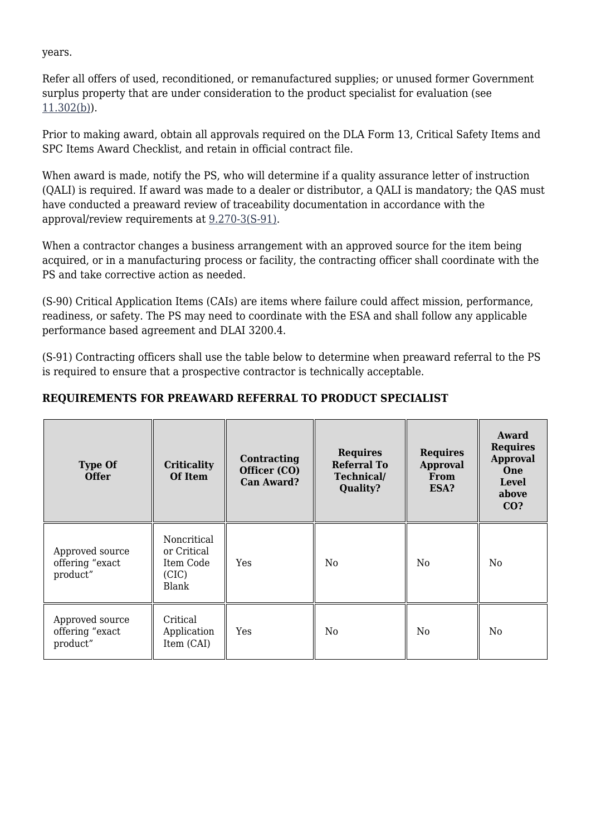years.

Refer all offers of used, reconditioned, or remanufactured supplies; or unused former Government surplus property that are under consideration to the product specialist for evaluation (see [11.302\(b\)](https://www.acquisition.gov/%5Brp:link:dlad-part-11%5D#P11_302_b)).

Prior to making award, obtain all approvals required on the DLA Form 13, Critical Safety Items and SPC Items Award Checklist, and retain in official contract file.

When award is made, notify the PS, who will determine if a quality assurance letter of instruction (QALI) is required. If award was made to a dealer or distributor, a QALI is mandatory; the QAS must have conducted a preaward review of traceability documentation in accordance with the approval/review requirements at [9.270-3\(S-91\).](https://www.acquisition.gov/%5Brp:link:dlad-part-9%5D#P9_270_3_S_91)

When a contractor changes a business arrangement with an approved source for the item being acquired, or in a manufacturing process or facility, the contracting officer shall coordinate with the PS and take corrective action as needed.

(S-90) Critical Application Items (CAIs) are items where failure could affect mission, performance, readiness, or safety. The PS may need to coordinate with the ESA and shall follow any applicable performance based agreement and DLAI 3200.4.

(S-91) Contracting officers shall use the table below to determine when preaward referral to the PS is required to ensure that a prospective contractor is technically acceptable.

#### **REQUIREMENTS FOR PREAWARD REFERRAL TO PRODUCT SPECIALIST**

| <b>Type Of</b><br><b>Offer</b>                 | <b>Criticality</b><br><b>Of Item</b>                      | Contracting<br>Officer (CO)<br><b>Can Award?</b> | <b>Requires</b><br><b>Referral To</b><br>Technical/<br>Quality? | <b>Requires</b><br><b>Approval</b><br><b>From</b><br>ESA? | Award<br><b>Requires</b><br><b>Approval</b><br><b>One</b><br><b>Level</b><br>above<br>CO? |
|------------------------------------------------|-----------------------------------------------------------|--------------------------------------------------|-----------------------------------------------------------------|-----------------------------------------------------------|-------------------------------------------------------------------------------------------|
| Approved source<br>offering "exact<br>product" | Noncritical<br>or Critical<br>Item Code<br>(CIC)<br>Blank | <b>Yes</b>                                       | N <sub>0</sub>                                                  | No                                                        | No                                                                                        |
| Approved source<br>offering "exact<br>product" | Critical<br>Application<br>Item (CAI)                     | <b>Yes</b>                                       | N <sub>0</sub>                                                  | No                                                        | N <sub>o</sub>                                                                            |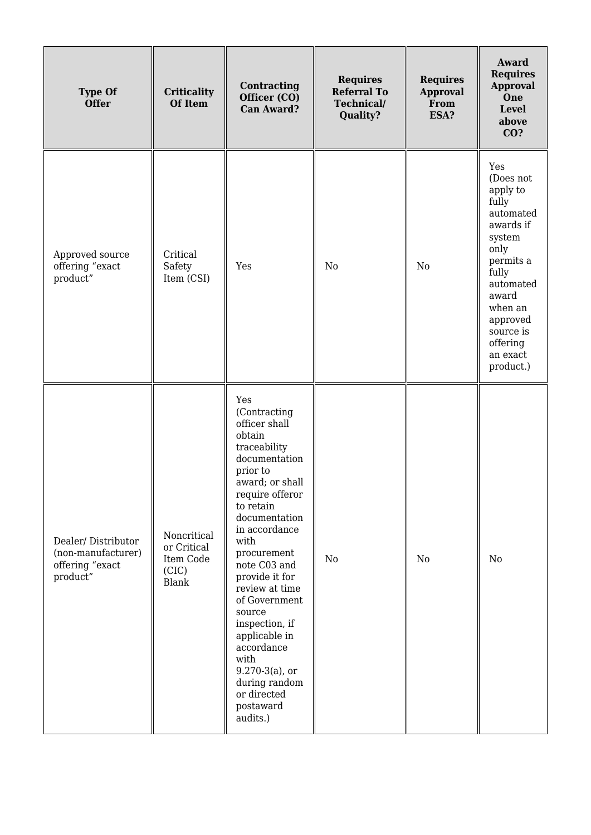| <b>Type Of</b><br><b>Offer</b>                                          | <b>Criticality</b><br>Of Item                                    | Contracting<br>Officer (CO)<br><b>Can Award?</b>                                                                                                                                                                                                                                                                                                                                                                              | <b>Requires</b><br><b>Referral To</b><br>Technical/<br>Quality? | <b>Requires</b><br><b>Approval</b><br>From<br>ESA? | Award<br><b>Requires</b><br><b>Approval</b><br>One<br><b>Level</b><br>above<br>CO?                                                                                                                     |
|-------------------------------------------------------------------------|------------------------------------------------------------------|-------------------------------------------------------------------------------------------------------------------------------------------------------------------------------------------------------------------------------------------------------------------------------------------------------------------------------------------------------------------------------------------------------------------------------|-----------------------------------------------------------------|----------------------------------------------------|--------------------------------------------------------------------------------------------------------------------------------------------------------------------------------------------------------|
| Approved source<br>offering "exact<br>product"                          | Critical<br>Safety<br>Item (CSI)                                 | Yes                                                                                                                                                                                                                                                                                                                                                                                                                           | N <sub>0</sub>                                                  | N <sub>0</sub>                                     | Yes<br>(Does not<br>apply to<br>fully<br>automated<br>awards if<br>system<br>only<br>permits a<br>fully<br>automated<br>award<br>when an<br>approved<br>source is<br>offering<br>an exact<br>product.) |
| Dealer/Distributor<br>(non-manufacturer)<br>offering "exact<br>product" | Noncritical<br>or Critical<br>Item Code<br>(CIC)<br><b>Blank</b> | Yes<br>(Contracting<br>officer shall<br>obtain<br>traceability<br>documentation<br>prior to<br>award; or shall<br>require offeror<br>to retain<br>documentation<br>in accordance<br>with<br>procurement<br>note C03 and<br>provide it for<br>review at time<br>of Government<br>source<br>inspection, if<br>applicable in<br>accordance<br>with<br>$9.270-3(a)$ , or<br>during random<br>or directed<br>postaward<br>audits.) | N <sub>0</sub>                                                  | N <sub>0</sub>                                     | No                                                                                                                                                                                                     |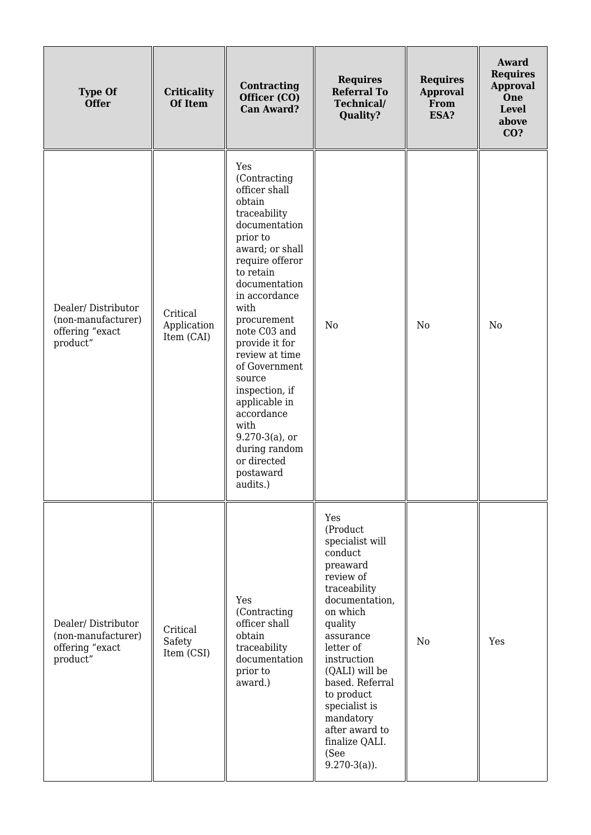| <b>Type Of</b><br><b>Offer</b>                                          | <b>Criticality</b><br>Of Item         | Contracting<br>Officer (CO)<br><b>Can Award?</b>                                                                                                                                                                                                                                                                                                                                                                              | <b>Requires</b><br><b>Referral To</b><br><b>Technical/</b><br>Quality?                                                                                                                                                                                                                                                   | <b>Requires</b><br><b>Approval</b><br>From<br>ESA? | <b>Award</b><br><b>Requires</b><br><b>Approval</b><br>One<br><b>Level</b><br>above<br><b>CO?</b> |
|-------------------------------------------------------------------------|---------------------------------------|-------------------------------------------------------------------------------------------------------------------------------------------------------------------------------------------------------------------------------------------------------------------------------------------------------------------------------------------------------------------------------------------------------------------------------|--------------------------------------------------------------------------------------------------------------------------------------------------------------------------------------------------------------------------------------------------------------------------------------------------------------------------|----------------------------------------------------|--------------------------------------------------------------------------------------------------|
| Dealer/Distributor<br>(non-manufacturer)<br>offering "exact<br>product" | Critical<br>Application<br>Item (CAI) | Yes<br>(Contracting<br>officer shall<br>obtain<br>traceability<br>documentation<br>prior to<br>award; or shall<br>require offeror<br>to retain<br>documentation<br>in accordance<br>with<br>procurement<br>note C03 and<br>provide it for<br>review at time<br>of Government<br>source<br>inspection, if<br>applicable in<br>accordance<br>with<br>$9.270-3(a)$ , or<br>during random<br>or directed<br>postaward<br>audits.) | No                                                                                                                                                                                                                                                                                                                       | No                                                 | No                                                                                               |
| Dealer/Distributor<br>(non-manufacturer)<br>offering "exact<br>product" | Critical<br>Safety<br>Item (CSI)      | Yes<br>(Contracting<br>officer shall<br>obtain<br>traceability<br>documentation<br>prior to<br>award.)                                                                                                                                                                                                                                                                                                                        | Yes<br>(Product<br>specialist will<br>conduct<br>preaward<br>review of<br>traceability<br>documentation,<br>on which<br>quality<br>assurance<br>letter of<br>instruction<br>(QALI) will be<br>based. Referral<br>to product<br>specialist is<br>mandatory<br>after award to<br>finalize QALI.<br>(See<br>$9.270-3(a)$ ). | No                                                 | Yes                                                                                              |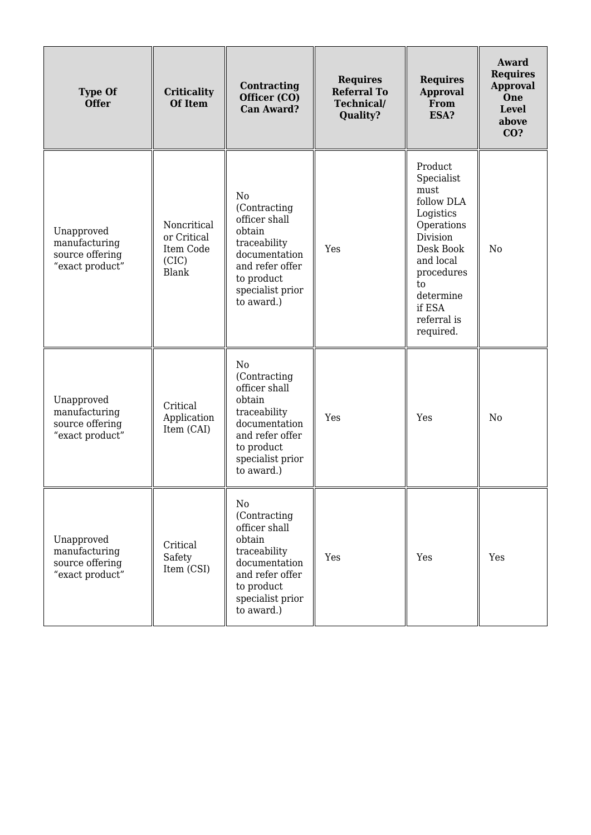| <b>Type Of</b><br><b>Offer</b>                                    | <b>Criticality</b><br>Of Item                                    | Contracting<br>Officer (CO)<br><b>Can Award?</b>                                                                                                              | <b>Requires</b><br><b>Referral To</b><br>Technical/<br><b>Quality?</b> | <b>Requires</b><br><b>Approval</b><br>From<br>ESA?                                                                                                                                  | <b>Award</b><br><b>Requires</b><br><b>Approval</b><br>One<br><b>Level</b><br>above<br>CO? |
|-------------------------------------------------------------------|------------------------------------------------------------------|---------------------------------------------------------------------------------------------------------------------------------------------------------------|------------------------------------------------------------------------|-------------------------------------------------------------------------------------------------------------------------------------------------------------------------------------|-------------------------------------------------------------------------------------------|
| Unapproved<br>manufacturing<br>source offering<br>"exact product" | Noncritical<br>or Critical<br>Item Code<br>(CIC)<br><b>Blank</b> | N <sub>0</sub><br>(Contracting<br>officer shall<br>obtain<br>traceability<br>documentation<br>and refer offer<br>to product<br>specialist prior<br>to award.) | Yes                                                                    | Product<br>Specialist<br>must<br>follow DLA<br>Logistics<br>Operations<br>Division<br>Desk Book<br>and local<br>procedures<br>to<br>determine<br>if ESA<br>referral is<br>required. | N <sub>0</sub>                                                                            |
| Unapproved<br>manufacturing<br>source offering<br>"exact product" | Critical<br>Application<br>Item (CAI)                            | N <sub>o</sub><br>(Contracting<br>officer shall<br>obtain<br>traceability<br>documentation<br>and refer offer<br>to product<br>specialist prior<br>to award.) | Yes                                                                    | Yes                                                                                                                                                                                 | N <sub>o</sub>                                                                            |
| Unapproved<br>manufacturing<br>source offering<br>"exact product" | Critical<br>Safety<br>Item (CSI)                                 | N <sub>0</sub><br>(Contracting<br>officer shall<br>obtain<br>traceability<br>documentation<br>and refer offer<br>to product<br>specialist prior<br>to award.) | Yes                                                                    | Yes                                                                                                                                                                                 | Yes                                                                                       |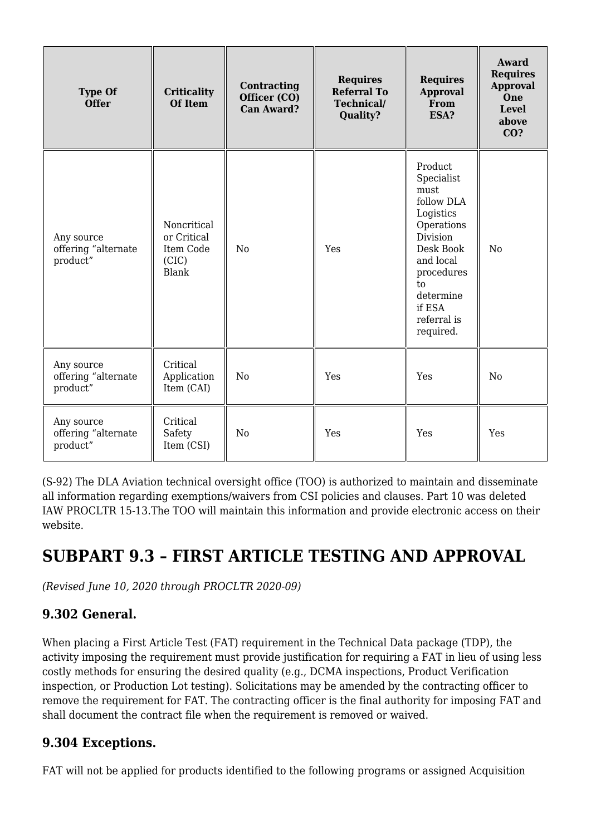| <b>Type Of</b><br><b>Offer</b>                | <b>Criticality</b><br>Of Item                                    | Contracting<br>Officer (CO)<br><b>Can Award?</b> | <b>Requires</b><br><b>Referral To</b><br>Technical/<br>Quality? | <b>Requires</b><br><b>Approval</b><br>From<br>ESA?                                                                                                                                  | Award<br><b>Requires</b><br><b>Approval</b><br>One<br><b>Level</b><br>above<br>CO? |
|-----------------------------------------------|------------------------------------------------------------------|--------------------------------------------------|-----------------------------------------------------------------|-------------------------------------------------------------------------------------------------------------------------------------------------------------------------------------|------------------------------------------------------------------------------------|
| Any source<br>offering "alternate<br>product" | Noncritical<br>or Critical<br>Item Code<br>(CIC)<br><b>Blank</b> | No                                               | Yes                                                             | Product<br>Specialist<br>must<br>follow DLA<br>Logistics<br>Operations<br>Division<br>Desk Book<br>and local<br>procedures<br>to<br>determine<br>if ESA<br>referral is<br>required. | N <sub>0</sub>                                                                     |
| Any source<br>offering "alternate<br>product" | Critical<br>Application<br>Item (CAI)                            | N <sub>o</sub>                                   | Yes                                                             | Yes                                                                                                                                                                                 | N <sub>0</sub>                                                                     |
| Any source<br>offering "alternate<br>product" | Critical<br>Safety<br>Item (CSI)                                 | No                                               | Yes                                                             | Yes                                                                                                                                                                                 | Yes                                                                                |

(S-92) The DLA Aviation technical oversight office (TOO) is authorized to maintain and disseminate all information regarding exemptions/waivers from CSI policies and clauses. Part 10 was deleted IAW PROCLTR 15-13.The TOO will maintain this information and provide electronic access on their website.

# **SUBPART 9.3 – FIRST ARTICLE TESTING AND APPROVAL**

*(Revised June 10, 2020 through PROCLTR 2020-09)*

#### **9.302 General.**

When placing a First Article Test (FAT) requirement in the Technical Data package (TDP), the activity imposing the requirement must provide justification for requiring a FAT in lieu of using less costly methods for ensuring the desired quality (e.g., DCMA inspections, Product Verification inspection, or Production Lot testing). Solicitations may be amended by the contracting officer to remove the requirement for FAT. The contracting officer is the final authority for imposing FAT and shall document the contract file when the requirement is removed or waived.

#### **9.304 Exceptions.**

FAT will not be applied for products identified to the following programs or assigned Acquisition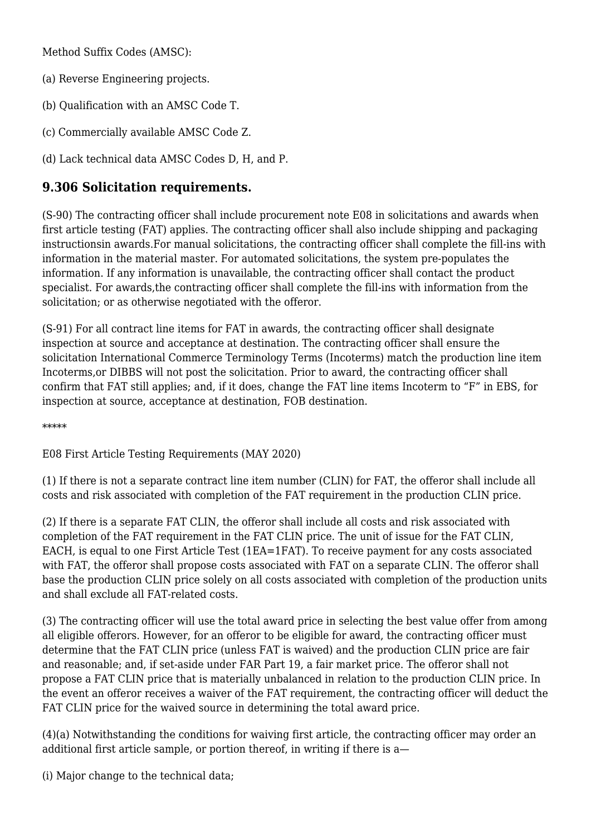Method Suffix Codes (AMSC):

- (a) Reverse Engineering projects.
- (b) Qualification with an AMSC Code T.
- (c) Commercially available AMSC Code Z.
- (d) Lack technical data AMSC Codes D, H, and P.

#### **9.306 Solicitation requirements.**

(S-90) The contracting officer shall include procurement note E08 in solicitations and awards when first article testing (FAT) applies. The contracting officer shall also include shipping and packaging instructionsin awards.For manual solicitations, the contracting officer shall complete the fill-ins with information in the material master. For automated solicitations, the system pre-populates the information. If any information is unavailable, the contracting officer shall contact the product specialist. For awards,the contracting officer shall complete the fill-ins with information from the solicitation; or as otherwise negotiated with the offeror.

(S-91) For all contract line items for FAT in awards, the contracting officer shall designate inspection at source and acceptance at destination. The contracting officer shall ensure the solicitation International Commerce Terminology Terms (Incoterms) match the production line item Incoterms,or DIBBS will not post the solicitation. Prior to award, the contracting officer shall confirm that FAT still applies; and, if it does, change the FAT line items Incoterm to "F" in EBS, for inspection at source, acceptance at destination, FOB destination.

\*\*\*\*\*

E08 First Article Testing Requirements (MAY 2020)

(1) If there is not a separate contract line item number (CLIN) for FAT, the offeror shall include all costs and risk associated with completion of the FAT requirement in the production CLIN price.

(2) If there is a separate FAT CLIN, the offeror shall include all costs and risk associated with completion of the FAT requirement in the FAT CLIN price. The unit of issue for the FAT CLIN, EACH, is equal to one First Article Test (1EA=1FAT). To receive payment for any costs associated with FAT, the offeror shall propose costs associated with FAT on a separate CLIN. The offeror shall base the production CLIN price solely on all costs associated with completion of the production units and shall exclude all FAT-related costs.

(3) The contracting officer will use the total award price in selecting the best value offer from among all eligible offerors. However, for an offeror to be eligible for award, the contracting officer must determine that the FAT CLIN price (unless FAT is waived) and the production CLIN price are fair and reasonable; and, if set-aside under FAR Part 19, a fair market price. The offeror shall not propose a FAT CLIN price that is materially unbalanced in relation to the production CLIN price. In the event an offeror receives a waiver of the FAT requirement, the contracting officer will deduct the FAT CLIN price for the waived source in determining the total award price.

(4)(a) Notwithstanding the conditions for waiving first article, the contracting officer may order an additional first article sample, or portion thereof, in writing if there is a—

(i) Major change to the technical data;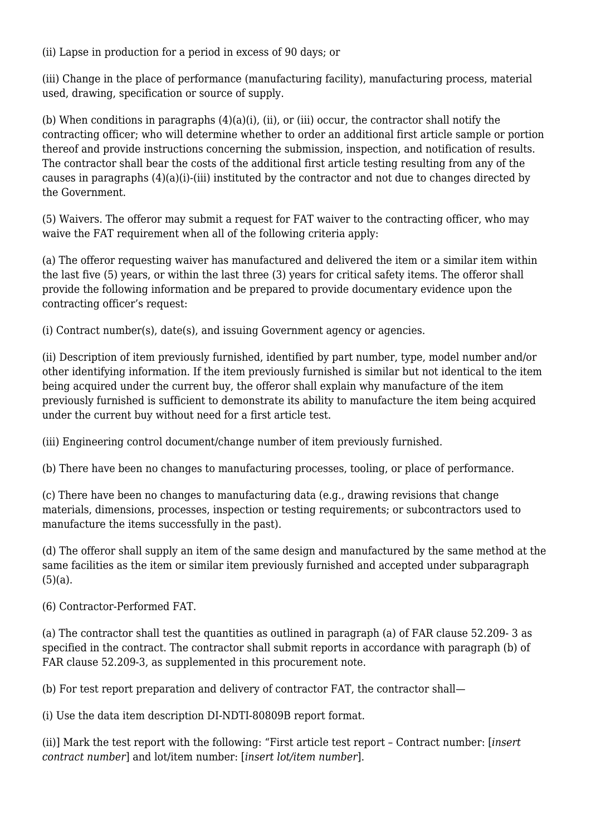(ii) Lapse in production for a period in excess of 90 days; or

(iii) Change in the place of performance (manufacturing facility), manufacturing process, material used, drawing, specification or source of supply.

(b) When conditions in paragraphs  $(4)(a)(i)$ , (ii), or (iii) occur, the contractor shall notify the contracting officer; who will determine whether to order an additional first article sample or portion thereof and provide instructions concerning the submission, inspection, and notification of results. The contractor shall bear the costs of the additional first article testing resulting from any of the causes in paragraphs (4)(a)(i)-(iii) instituted by the contractor and not due to changes directed by the Government.

(5) Waivers. The offeror may submit a request for FAT waiver to the contracting officer, who may waive the FAT requirement when all of the following criteria apply:

(a) The offeror requesting waiver has manufactured and delivered the item or a similar item within the last five (5) years, or within the last three (3) years for critical safety items. The offeror shall provide the following information and be prepared to provide documentary evidence upon the contracting officer's request:

(i) Contract number(s), date(s), and issuing Government agency or agencies.

(ii) Description of item previously furnished, identified by part number, type, model number and/or other identifying information. If the item previously furnished is similar but not identical to the item being acquired under the current buy, the offeror shall explain why manufacture of the item previously furnished is sufficient to demonstrate its ability to manufacture the item being acquired under the current buy without need for a first article test.

(iii) Engineering control document/change number of item previously furnished.

(b) There have been no changes to manufacturing processes, tooling, or place of performance.

(c) There have been no changes to manufacturing data (e.g., drawing revisions that change materials, dimensions, processes, inspection or testing requirements; or subcontractors used to manufacture the items successfully in the past).

(d) The offeror shall supply an item of the same design and manufactured by the same method at the same facilities as the item or similar item previously furnished and accepted under subparagraph  $(5)(a)$ .

(6) Contractor-Performed FAT.

(a) The contractor shall test the quantities as outlined in paragraph (a) of FAR clause 52.209- 3 as specified in the contract. The contractor shall submit reports in accordance with paragraph (b) of FAR clause 52.209-3, as supplemented in this procurement note.

(b) For test report preparation and delivery of contractor FAT, the contractor shall—

(i) Use the data item description DI-NDTI-80809B report format.

(ii)] Mark the test report with the following: "First article test report – Contract number: [*insert contract number*] and lot/item number: [*insert lot/item number*].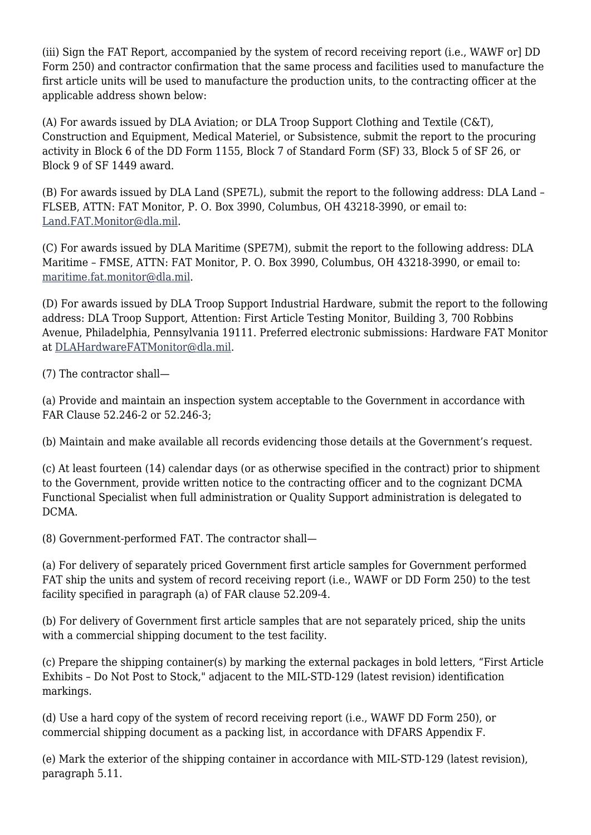(iii) Sign the FAT Report, accompanied by the system of record receiving report (i.e., WAWF or] DD Form 250) and contractor confirmation that the same process and facilities used to manufacture the first article units will be used to manufacture the production units, to the contracting officer at the applicable address shown below:

(A) For awards issued by DLA Aviation; or DLA Troop Support Clothing and Textile (C&T), Construction and Equipment, Medical Materiel, or Subsistence, submit the report to the procuring activity in Block 6 of the DD Form 1155, Block 7 of Standard Form (SF) 33, Block 5 of SF 26, or Block 9 of SF 1449 award.

(B) For awards issued by DLA Land (SPE7L), submit the report to the following address: DLA Land – FLSEB, ATTN: FAT Monitor, P. O. Box 3990, Columbus, OH 43218-3990, or email to: [Land.FAT.Monitor@dla.mil](mailto:Land.FAT.Monitor@dla.mil).

(C) For awards issued by DLA Maritime (SPE7M), submit the report to the following address: DLA Maritime – FMSE, ATTN: FAT Monitor, P. O. Box 3990, Columbus, OH 43218-3990, or email to: [maritime.fat.monitor@dla.mil.](mailto:maritime.fat.monitor@dla.mil)

(D) For awards issued by DLA Troop Support Industrial Hardware, submit the report to the following address: DLA Troop Support, Attention: First Article Testing Monitor, Building 3, 700 Robbins Avenue, Philadelphia, Pennsylvania 19111. Preferred electronic submissions: Hardware FAT Monitor at [DLAHardwareFATMonitor@dla.mil.](mailto:DLAHardwareFATMonitor@dla.mil)

(7) The contractor shall—

(a) Provide and maintain an inspection system acceptable to the Government in accordance with FAR Clause 52.246-2 or 52.246-3;

(b) Maintain and make available all records evidencing those details at the Government's request.

(c) At least fourteen (14) calendar days (or as otherwise specified in the contract) prior to shipment to the Government, provide written notice to the contracting officer and to the cognizant DCMA Functional Specialist when full administration or Quality Support administration is delegated to DCMA.

(8) Government-performed FAT. The contractor shall—

(a) For delivery of separately priced Government first article samples for Government performed FAT ship the units and system of record receiving report (i.e., WAWF or DD Form 250) to the test facility specified in paragraph (a) of FAR clause 52.209-4.

(b) For delivery of Government first article samples that are not separately priced, ship the units with a commercial shipping document to the test facility.

(c) Prepare the shipping container(s) by marking the external packages in bold letters, "First Article Exhibits – Do Not Post to Stock," adjacent to the MIL-STD-129 (latest revision) identification markings.

(d) Use a hard copy of the system of record receiving report (i.e., WAWF DD Form 250), or commercial shipping document as a packing list, in accordance with DFARS Appendix F.

(e) Mark the exterior of the shipping container in accordance with MIL-STD-129 (latest revision), paragraph 5.11.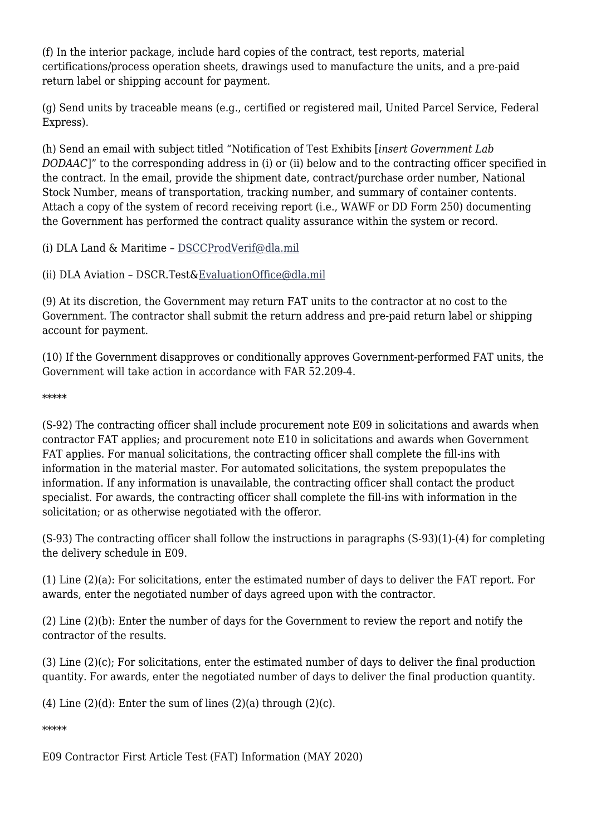(f) In the interior package, include hard copies of the contract, test reports, material certifications/process operation sheets, drawings used to manufacture the units, and a pre-paid return label or shipping account for payment.

(g) Send units by traceable means (e.g., certified or registered mail, United Parcel Service, Federal Express).

(h) Send an email with subject titled "Notification of Test Exhibits [*insert Government Lab DODAAC*]" to the corresponding address in (i) or (ii) below and to the contracting officer specified in the contract. In the email, provide the shipment date, contract/purchase order number, National Stock Number, means of transportation, tracking number, and summary of container contents. Attach a copy of the system of record receiving report (i.e., WAWF or DD Form 250) documenting the Government has performed the contract quality assurance within the system or record.

(i) DLA Land & Maritime – [DSCCProdVerif@dla.mil](mailto:DSCCProdVerif@dla.mil)

(ii) DLA Aviation – DSCR.Test[&EvaluationOffice@dla.mil](mailto:EvaluationOffice@dla.mil)

(9) At its discretion, the Government may return FAT units to the contractor at no cost to the Government. The contractor shall submit the return address and pre-paid return label or shipping account for payment.

(10) If the Government disapproves or conditionally approves Government-performed FAT units, the Government will take action in accordance with FAR 52.209-4.

\*\*\*\*\*

(S-92) The contracting officer shall include procurement note E09 in solicitations and awards when contractor FAT applies; and procurement note E10 in solicitations and awards when Government FAT applies. For manual solicitations, the contracting officer shall complete the fill-ins with information in the material master. For automated solicitations, the system prepopulates the information. If any information is unavailable, the contracting officer shall contact the product specialist. For awards, the contracting officer shall complete the fill-ins with information in the solicitation; or as otherwise negotiated with the offeror.

(S-93) The contracting officer shall follow the instructions in paragraphs (S-93)(1)-(4) for completing the delivery schedule in E09.

(1) Line (2)(a): For solicitations, enter the estimated number of days to deliver the FAT report. For awards, enter the negotiated number of days agreed upon with the contractor.

(2) Line (2)(b): Enter the number of days for the Government to review the report and notify the contractor of the results.

(3) Line (2)(c); For solicitations, enter the estimated number of days to deliver the final production quantity. For awards, enter the negotiated number of days to deliver the final production quantity.

(4) Line  $(2)(d)$ : Enter the sum of lines  $(2)(a)$  through  $(2)(c)$ .

\*\*\*\*\*

E09 Contractor First Article Test (FAT) Information (MAY 2020)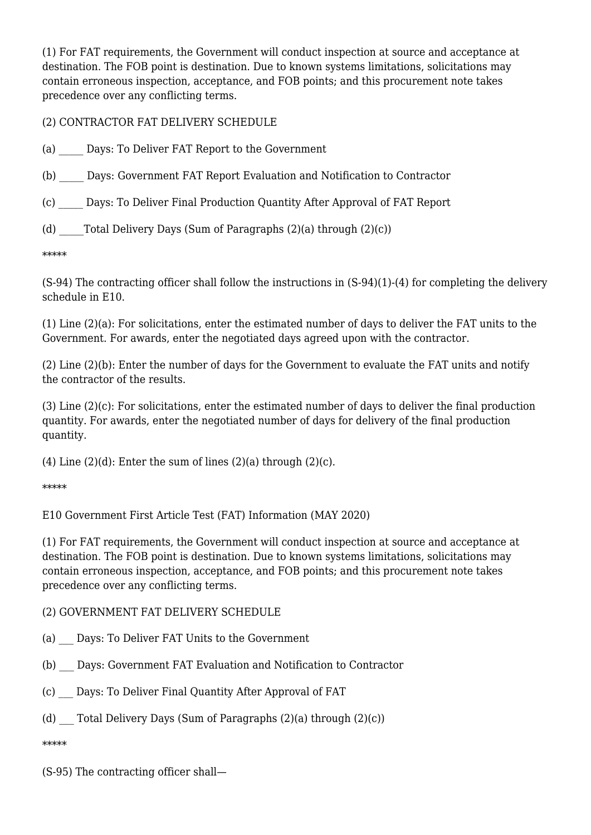(1) For FAT requirements, the Government will conduct inspection at source and acceptance at destination. The FOB point is destination. Due to known systems limitations, solicitations may contain erroneous inspection, acceptance, and FOB points; and this procurement note takes precedence over any conflicting terms.

(2) CONTRACTOR FAT DELIVERY SCHEDULE

(a) \_\_\_\_\_ Days: To Deliver FAT Report to the Government

(b) \_\_\_\_\_ Days: Government FAT Report Evaluation and Notification to Contractor

(c) \_\_\_\_\_ Days: To Deliver Final Production Quantity After Approval of FAT Report

(d)  $\qquad$  Total Delivery Days (Sum of Paragraphs (2)(a) through (2)(c))

\*\*\*\*\*

(S-94) The contracting officer shall follow the instructions in (S-94)(1)-(4) for completing the delivery schedule in E10.

(1) Line (2)(a): For solicitations, enter the estimated number of days to deliver the FAT units to the Government. For awards, enter the negotiated days agreed upon with the contractor.

(2) Line (2)(b): Enter the number of days for the Government to evaluate the FAT units and notify the contractor of the results.

(3) Line (2)(c): For solicitations, enter the estimated number of days to deliver the final production quantity. For awards, enter the negotiated number of days for delivery of the final production quantity.

(4) Line  $(2)(d)$ : Enter the sum of lines  $(2)(a)$  through  $(2)(c)$ .

\*\*\*\*\*

E10 Government First Article Test (FAT) Information (MAY 2020)

(1) For FAT requirements, the Government will conduct inspection at source and acceptance at destination. The FOB point is destination. Due to known systems limitations, solicitations may contain erroneous inspection, acceptance, and FOB points; and this procurement note takes precedence over any conflicting terms.

#### (2) GOVERNMENT FAT DELIVERY SCHEDULE

- (a) \_\_\_ Days: To Deliver FAT Units to the Government
- (b) \_\_\_ Days: Government FAT Evaluation and Notification to Contractor
- (c) \_\_\_ Days: To Deliver Final Quantity After Approval of FAT
- (d) Total Delivery Days (Sum of Paragraphs  $(2)(a)$  through  $(2)(c)$ )

\*\*\*\*\*

(S-95) The contracting officer shall—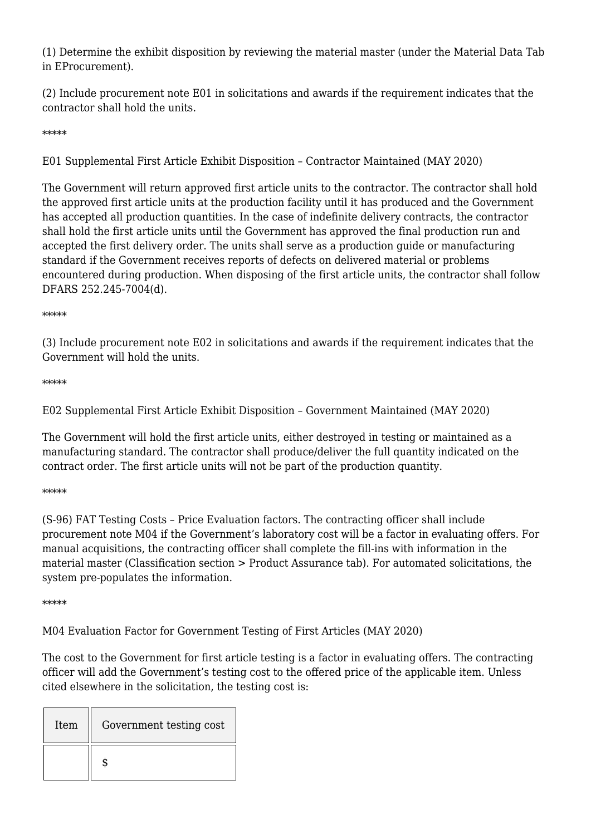(1) Determine the exhibit disposition by reviewing the material master (under the Material Data Tab in EProcurement).

(2) Include procurement note E01 in solicitations and awards if the requirement indicates that the contractor shall hold the units.

\*\*\*\*\*

E01 Supplemental First Article Exhibit Disposition – Contractor Maintained (MAY 2020)

The Government will return approved first article units to the contractor. The contractor shall hold the approved first article units at the production facility until it has produced and the Government has accepted all production quantities. In the case of indefinite delivery contracts, the contractor shall hold the first article units until the Government has approved the final production run and accepted the first delivery order. The units shall serve as a production guide or manufacturing standard if the Government receives reports of defects on delivered material or problems encountered during production. When disposing of the first article units, the contractor shall follow DFARS 252.245-7004(d).

\*\*\*\*\*

(3) Include procurement note E02 in solicitations and awards if the requirement indicates that the Government will hold the units.

\*\*\*\*\*

E02 Supplemental First Article Exhibit Disposition – Government Maintained (MAY 2020)

The Government will hold the first article units, either destroyed in testing or maintained as a manufacturing standard. The contractor shall produce/deliver the full quantity indicated on the contract order. The first article units will not be part of the production quantity.

#### \*\*\*\*\*

(S-96) FAT Testing Costs – Price Evaluation factors. The contracting officer shall include procurement note M04 if the Government's laboratory cost will be a factor in evaluating offers. For manual acquisitions, the contracting officer shall complete the fill-ins with information in the material master (Classification section > Product Assurance tab). For automated solicitations, the system pre-populates the information.

\*\*\*\*\*

M04 Evaluation Factor for Government Testing of First Articles (MAY 2020)

The cost to the Government for first article testing is a factor in evaluating offers. The contracting officer will add the Government's testing cost to the offered price of the applicable item. Unless cited elsewhere in the solicitation, the testing cost is:

| Item | Government testing cost |
|------|-------------------------|
|      |                         |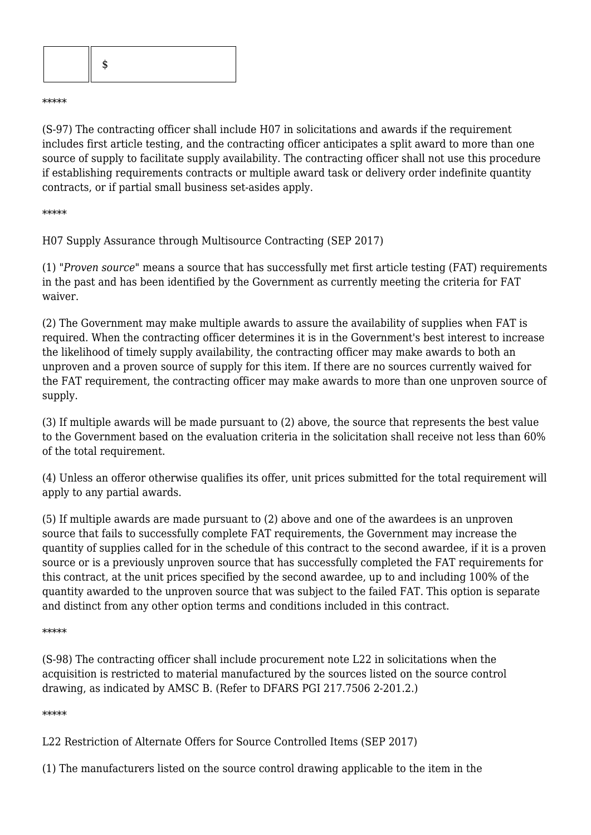|--|

\*\*\*\*\*

(S-97) The contracting officer shall include H07 in solicitations and awards if the requirement includes first article testing, and the contracting officer anticipates a split award to more than one source of supply to facilitate supply availability. The contracting officer shall not use this procedure if establishing requirements contracts or multiple award task or delivery order indefinite quantity contracts, or if partial small business set-asides apply.

\*\*\*\*\*

H07 Supply Assurance through Multisource Contracting (SEP 2017)

(1) *"Proven source"* means a source that has successfully met first article testing (FAT) requirements in the past and has been identified by the Government as currently meeting the criteria for FAT waiver.

(2) The Government may make multiple awards to assure the availability of supplies when FAT is required. When the contracting officer determines it is in the Government's best interest to increase the likelihood of timely supply availability, the contracting officer may make awards to both an unproven and a proven source of supply for this item. If there are no sources currently waived for the FAT requirement, the contracting officer may make awards to more than one unproven source of supply.

(3) If multiple awards will be made pursuant to (2) above, the source that represents the best value to the Government based on the evaluation criteria in the solicitation shall receive not less than 60% of the total requirement.

(4) Unless an offeror otherwise qualifies its offer, unit prices submitted for the total requirement will apply to any partial awards.

(5) If multiple awards are made pursuant to (2) above and one of the awardees is an unproven source that fails to successfully complete FAT requirements, the Government may increase the quantity of supplies called for in the schedule of this contract to the second awardee, if it is a proven source or is a previously unproven source that has successfully completed the FAT requirements for this contract, at the unit prices specified by the second awardee, up to and including 100% of the quantity awarded to the unproven source that was subject to the failed FAT. This option is separate and distinct from any other option terms and conditions included in this contract.

#### \*\*\*\*\*

(S-98) The contracting officer shall include procurement note L22 in solicitations when the acquisition is restricted to material manufactured by the sources listed on the source control drawing, as indicated by AMSC B. (Refer to DFARS PGI 217.7506 2-201.2.)

\*\*\*\*\*

L22 Restriction of Alternate Offers for Source Controlled Items (SEP 2017)

(1) The manufacturers listed on the source control drawing applicable to the item in the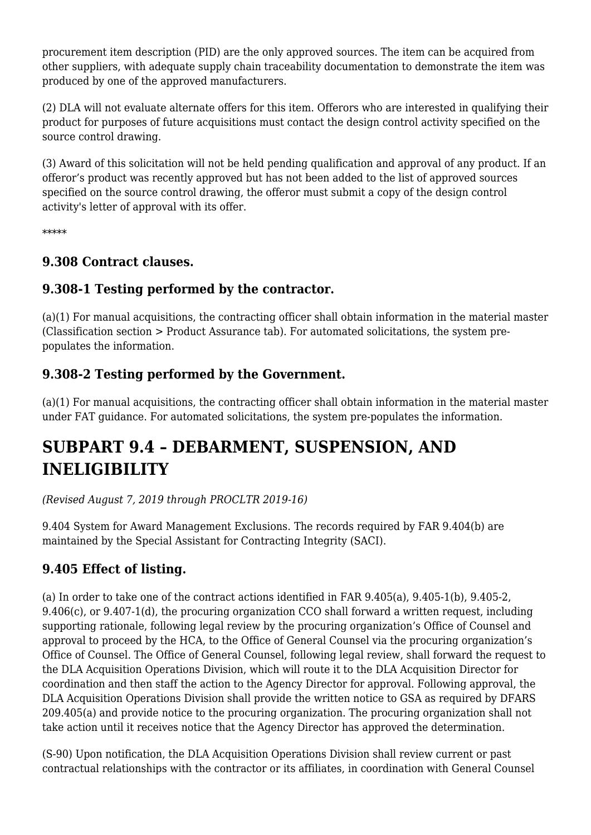procurement item description (PID) are the only approved sources. The item can be acquired from other suppliers, with adequate supply chain traceability documentation to demonstrate the item was produced by one of the approved manufacturers.

(2) DLA will not evaluate alternate offers for this item. Offerors who are interested in qualifying their product for purposes of future acquisitions must contact the design control activity specified on the source control drawing.

(3) Award of this solicitation will not be held pending qualification and approval of any product. If an offeror's product was recently approved but has not been added to the list of approved sources specified on the source control drawing, the offeror must submit a copy of the design control activity's letter of approval with its offer.

\*\*\*\*\*

#### **9.308 Contract clauses.**

#### **9.308-1 Testing performed by the contractor.**

(a)(1) For manual acquisitions, the contracting officer shall obtain information in the material master (Classification section > Product Assurance tab). For automated solicitations, the system prepopulates the information.

#### **9.308-2 Testing performed by the Government.**

(a)(1) For manual acquisitions, the contracting officer shall obtain information in the material master under FAT guidance. For automated solicitations, the system pre-populates the information.

# **SUBPART 9.4 – DEBARMENT, SUSPENSION, AND INELIGIBILITY**

*(Revised August 7, 2019 through PROCLTR 2019-16)*

9.404 System for Award Management Exclusions. The records required by FAR 9.404(b) are maintained by the Special Assistant for Contracting Integrity (SACI).

# **9.405 Effect of listing.**

(a) In order to take one of the contract actions identified in FAR  $9.405(a)$ ,  $9.405-1(b)$ ,  $9.405-2$ , 9.406(c), or 9.407-1(d), the procuring organization CCO shall forward a written request, including supporting rationale, following legal review by the procuring organization's Office of Counsel and approval to proceed by the HCA, to the Office of General Counsel via the procuring organization's Office of Counsel. The Office of General Counsel, following legal review, shall forward the request to the DLA Acquisition Operations Division, which will route it to the DLA Acquisition Director for coordination and then staff the action to the Agency Director for approval. Following approval, the DLA Acquisition Operations Division shall provide the written notice to GSA as required by DFARS 209.405(a) and provide notice to the procuring organization. The procuring organization shall not take action until it receives notice that the Agency Director has approved the determination.

(S-90) Upon notification, the DLA Acquisition Operations Division shall review current or past contractual relationships with the contractor or its affiliates, in coordination with General Counsel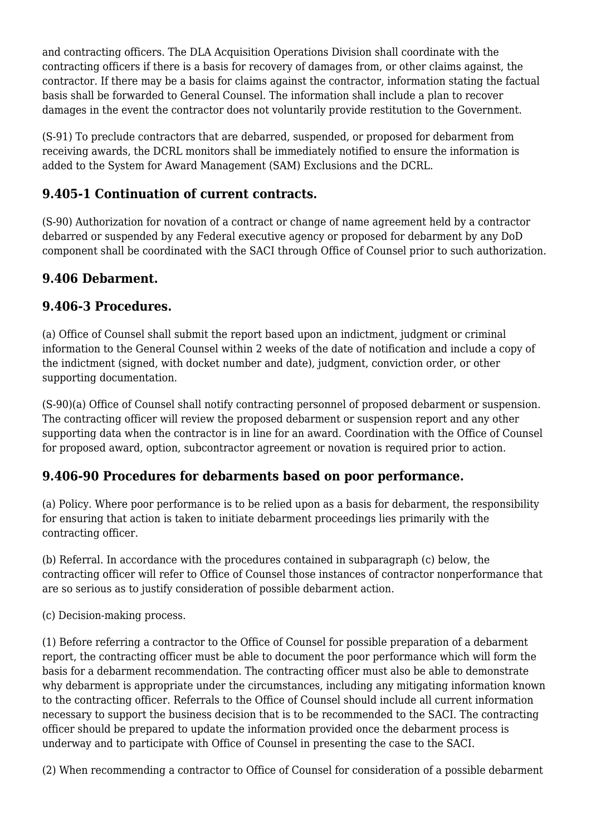and contracting officers. The DLA Acquisition Operations Division shall coordinate with the contracting officers if there is a basis for recovery of damages from, or other claims against, the contractor. If there may be a basis for claims against the contractor, information stating the factual basis shall be forwarded to General Counsel. The information shall include a plan to recover damages in the event the contractor does not voluntarily provide restitution to the Government.

(S-91) To preclude contractors that are debarred, suspended, or proposed for debarment from receiving awards, the DCRL monitors shall be immediately notified to ensure the information is added to the System for Award Management (SAM) Exclusions and the DCRL.

#### **9.405-1 Continuation of current contracts.**

(S-90) Authorization for novation of a contract or change of name agreement held by a contractor debarred or suspended by any Federal executive agency or proposed for debarment by any DoD component shall be coordinated with the SACI through Office of Counsel prior to such authorization.

# **9.406 Debarment.**

#### **9.406-3 Procedures.**

(a) Office of Counsel shall submit the report based upon an indictment, judgment or criminal information to the General Counsel within 2 weeks of the date of notification and include a copy of the indictment (signed, with docket number and date), judgment, conviction order, or other supporting documentation.

(S-90)(a) Office of Counsel shall notify contracting personnel of proposed debarment or suspension. The contracting officer will review the proposed debarment or suspension report and any other supporting data when the contractor is in line for an award. Coordination with the Office of Counsel for proposed award, option, subcontractor agreement or novation is required prior to action.

#### **9.406-90 Procedures for debarments based on poor performance.**

(a) Policy. Where poor performance is to be relied upon as a basis for debarment, the responsibility for ensuring that action is taken to initiate debarment proceedings lies primarily with the contracting officer.

(b) Referral. In accordance with the procedures contained in subparagraph (c) below, the contracting officer will refer to Office of Counsel those instances of contractor nonperformance that are so serious as to justify consideration of possible debarment action.

(c) Decision-making process.

(1) Before referring a contractor to the Office of Counsel for possible preparation of a debarment report, the contracting officer must be able to document the poor performance which will form the basis for a debarment recommendation. The contracting officer must also be able to demonstrate why debarment is appropriate under the circumstances, including any mitigating information known to the contracting officer. Referrals to the Office of Counsel should include all current information necessary to support the business decision that is to be recommended to the SACI. The contracting officer should be prepared to update the information provided once the debarment process is underway and to participate with Office of Counsel in presenting the case to the SACI.

(2) When recommending a contractor to Office of Counsel for consideration of a possible debarment